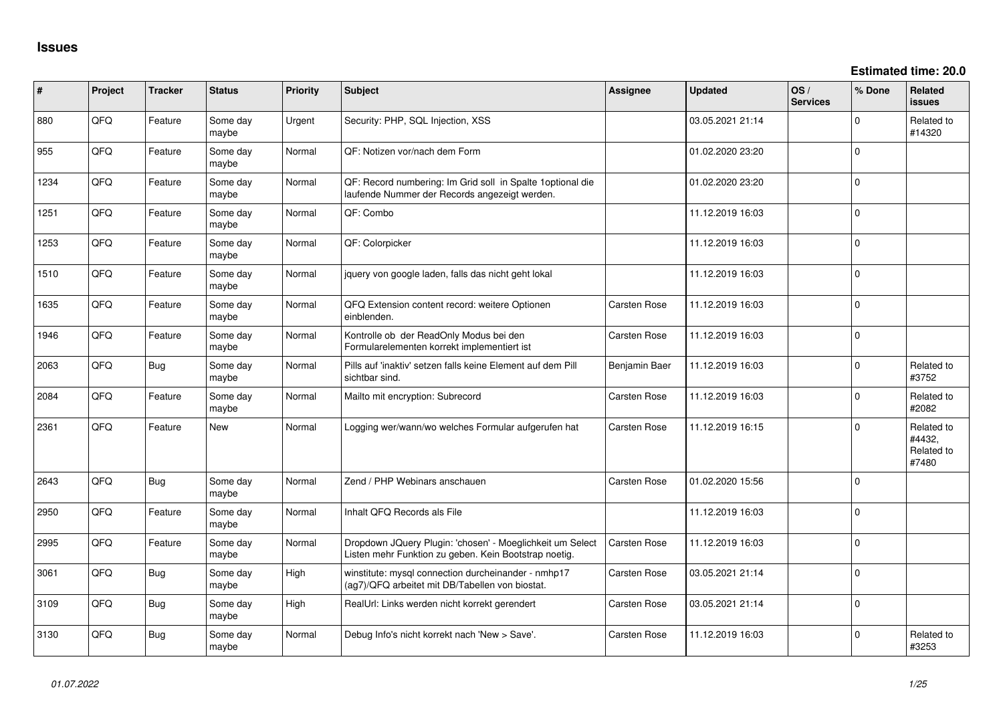**Estimated time: 20.0**

| #    | Project | <b>Tracker</b> | <b>Status</b>     | <b>Priority</b> | Subject                                                                                                            | <b>Assignee</b>     | <b>Updated</b>   | OS/<br><b>Services</b> | % Done       | <b>Related</b><br><b>issues</b>             |
|------|---------|----------------|-------------------|-----------------|--------------------------------------------------------------------------------------------------------------------|---------------------|------------------|------------------------|--------------|---------------------------------------------|
| 880  | QFQ     | Feature        | Some day<br>maybe | Urgent          | Security: PHP, SQL Injection, XSS                                                                                  |                     | 03.05.2021 21:14 |                        | <sup>0</sup> | Related to<br>#14320                        |
| 955  | QFQ     | Feature        | Some day<br>maybe | Normal          | QF: Notizen vor/nach dem Form                                                                                      |                     | 01.02.2020 23:20 |                        | $\Omega$     |                                             |
| 1234 | QFQ     | Feature        | Some day<br>maybe | Normal          | QF: Record numbering: Im Grid soll in Spalte 1 optional die<br>laufende Nummer der Records angezeigt werden.       |                     | 01.02.2020 23:20 |                        | $\Omega$     |                                             |
| 1251 | QFQ     | Feature        | Some day<br>maybe | Normal          | QF: Combo                                                                                                          |                     | 11.12.2019 16:03 |                        | $\Omega$     |                                             |
| 1253 | QFQ     | Feature        | Some day<br>maybe | Normal          | QF: Colorpicker                                                                                                    |                     | 11.12.2019 16:03 |                        | $\Omega$     |                                             |
| 1510 | QFQ     | Feature        | Some day<br>maybe | Normal          | jquery von google laden, falls das nicht geht lokal                                                                |                     | 11.12.2019 16:03 |                        | $\Omega$     |                                             |
| 1635 | QFQ     | Feature        | Some day<br>maybe | Normal          | QFQ Extension content record: weitere Optionen<br>einblenden.                                                      | <b>Carsten Rose</b> | 11.12.2019 16:03 |                        | $\Omega$     |                                             |
| 1946 | QFQ     | Feature        | Some day<br>maybe | Normal          | Kontrolle ob der ReadOnly Modus bei den<br>Formularelementen korrekt implementiert ist                             | <b>Carsten Rose</b> | 11.12.2019 16:03 |                        | $\Omega$     |                                             |
| 2063 | QFQ     | Bug            | Some day<br>maybe | Normal          | Pills auf 'inaktiv' setzen falls keine Element auf dem Pill<br>sichtbar sind.                                      | Benjamin Baer       | 11.12.2019 16:03 |                        | $\Omega$     | Related to<br>#3752                         |
| 2084 | QFQ     | Feature        | Some day<br>maybe | Normal          | Mailto mit encryption: Subrecord                                                                                   | <b>Carsten Rose</b> | 11.12.2019 16:03 |                        | <sup>n</sup> | Related to<br>#2082                         |
| 2361 | QFQ     | Feature        | New               | Normal          | Logging wer/wann/wo welches Formular aufgerufen hat                                                                | Carsten Rose        | 11.12.2019 16:15 |                        | $\Omega$     | Related to<br>#4432,<br>Related to<br>#7480 |
| 2643 | QFG     | Bug            | Some day<br>maybe | Normal          | Zend / PHP Webinars anschauen                                                                                      | <b>Carsten Rose</b> | 01.02.2020 15:56 |                        | $\Omega$     |                                             |
| 2950 | QFQ     | Feature        | Some day<br>maybe | Normal          | Inhalt QFQ Records als File                                                                                        |                     | 11.12.2019 16:03 |                        | $\Omega$     |                                             |
| 2995 | QFQ     | Feature        | Some day<br>maybe | Normal          | Dropdown JQuery Plugin: 'chosen' - Moeglichkeit um Select<br>Listen mehr Funktion zu geben. Kein Bootstrap noetig. | <b>Carsten Rose</b> | 11.12.2019 16:03 |                        | $\Omega$     |                                             |
| 3061 | QFQ     | Bug            | Some day<br>maybe | High            | winstitute: mysql connection durcheinander - nmhp17<br>(ag7)/QFQ arbeitet mit DB/Tabellen von biostat.             | <b>Carsten Rose</b> | 03.05.2021 21:14 |                        | $\Omega$     |                                             |
| 3109 | QFQ     | Bug            | Some day<br>maybe | High            | RealUrl: Links werden nicht korrekt gerendert                                                                      | <b>Carsten Rose</b> | 03.05.2021 21:14 |                        | $\Omega$     |                                             |
| 3130 | QFQ     | Bug            | Some day<br>maybe | Normal          | Debug Info's nicht korrekt nach 'New > Save'.                                                                      | <b>Carsten Rose</b> | 11.12.2019 16:03 |                        | $\Omega$     | Related to<br>#3253                         |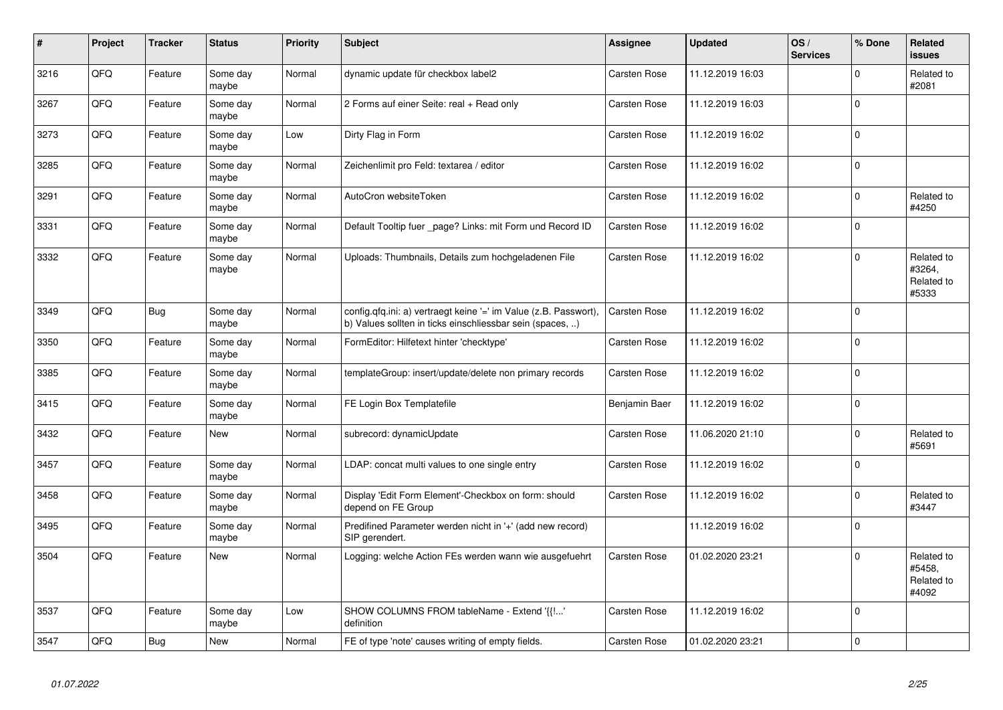| $\vert$ # | Project | <b>Tracker</b> | <b>Status</b>     | <b>Priority</b> | <b>Subject</b>                                                                                                                | Assignee            | <b>Updated</b>   | OS/<br><b>Services</b> | % Done      | Related<br><b>issues</b>                    |
|-----------|---------|----------------|-------------------|-----------------|-------------------------------------------------------------------------------------------------------------------------------|---------------------|------------------|------------------------|-------------|---------------------------------------------|
| 3216      | QFQ     | Feature        | Some day<br>maybe | Normal          | dynamic update für checkbox label2                                                                                            | Carsten Rose        | 11.12.2019 16:03 |                        | $\Omega$    | Related to<br>#2081                         |
| 3267      | QFQ     | Feature        | Some day<br>maybe | Normal          | 2 Forms auf einer Seite: real + Read only                                                                                     | Carsten Rose        | 11.12.2019 16:03 |                        | $\Omega$    |                                             |
| 3273      | QFQ     | Feature        | Some day<br>maybe | Low             | Dirty Flag in Form                                                                                                            | Carsten Rose        | 11.12.2019 16:02 |                        | $\Omega$    |                                             |
| 3285      | QFQ     | Feature        | Some day<br>maybe | Normal          | Zeichenlimit pro Feld: textarea / editor                                                                                      | Carsten Rose        | 11.12.2019 16:02 |                        | $\Omega$    |                                             |
| 3291      | QFQ     | Feature        | Some day<br>maybe | Normal          | AutoCron websiteToken                                                                                                         | Carsten Rose        | 11.12.2019 16:02 |                        | $\Omega$    | Related to<br>#4250                         |
| 3331      | QFQ     | Feature        | Some day<br>maybe | Normal          | Default Tooltip fuer _page? Links: mit Form und Record ID                                                                     | Carsten Rose        | 11.12.2019 16:02 |                        | $\Omega$    |                                             |
| 3332      | QFQ     | Feature        | Some day<br>maybe | Normal          | Uploads: Thumbnails, Details zum hochgeladenen File                                                                           | Carsten Rose        | 11.12.2019 16:02 |                        | $\Omega$    | Related to<br>#3264,<br>Related to<br>#5333 |
| 3349      | QFQ     | Bug            | Some day<br>maybe | Normal          | config.qfq.ini: a) vertraegt keine '=' im Value (z.B. Passwort),<br>b) Values sollten in ticks einschliessbar sein (spaces, ) | <b>Carsten Rose</b> | 11.12.2019 16:02 |                        | $\mathbf 0$ |                                             |
| 3350      | QFQ     | Feature        | Some day<br>maybe | Normal          | FormEditor: Hilfetext hinter 'checktype'                                                                                      | <b>Carsten Rose</b> | 11.12.2019 16:02 |                        | $\mathbf 0$ |                                             |
| 3385      | QFQ     | Feature        | Some day<br>maybe | Normal          | templateGroup: insert/update/delete non primary records                                                                       | <b>Carsten Rose</b> | 11.12.2019 16:02 |                        | $\Omega$    |                                             |
| 3415      | QFQ     | Feature        | Some day<br>maybe | Normal          | FE Login Box Templatefile                                                                                                     | Benjamin Baer       | 11.12.2019 16:02 |                        | $\Omega$    |                                             |
| 3432      | QFQ     | Feature        | <b>New</b>        | Normal          | subrecord: dynamicUpdate                                                                                                      | Carsten Rose        | 11.06.2020 21:10 |                        | $\Omega$    | Related to<br>#5691                         |
| 3457      | QFQ     | Feature        | Some day<br>maybe | Normal          | LDAP: concat multi values to one single entry                                                                                 | Carsten Rose        | 11.12.2019 16:02 |                        | $\Omega$    |                                             |
| 3458      | QFQ     | Feature        | Some day<br>maybe | Normal          | Display 'Edit Form Element'-Checkbox on form: should<br>depend on FE Group                                                    | Carsten Rose        | 11.12.2019 16:02 |                        | $\Omega$    | Related to<br>#3447                         |
| 3495      | QFQ     | Feature        | Some day<br>maybe | Normal          | Predifined Parameter werden nicht in '+' (add new record)<br>SIP gerendert.                                                   |                     | 11.12.2019 16:02 |                        | $\Omega$    |                                             |
| 3504      | QFQ     | Feature        | <b>New</b>        | Normal          | Logging: welche Action FEs werden wann wie ausgefuehrt                                                                        | Carsten Rose        | 01.02.2020 23:21 |                        | $\Omega$    | Related to<br>#5458,<br>Related to<br>#4092 |
| 3537      | QFQ     | Feature        | Some day<br>maybe | Low             | SHOW COLUMNS FROM tableName - Extend '{{!'<br>definition                                                                      | <b>Carsten Rose</b> | 11.12.2019 16:02 |                        | $\Omega$    |                                             |
| 3547      | QFQ     | Bug            | New               | Normal          | FE of type 'note' causes writing of empty fields.                                                                             | <b>Carsten Rose</b> | 01.02.2020 23:21 |                        | $\mathbf 0$ |                                             |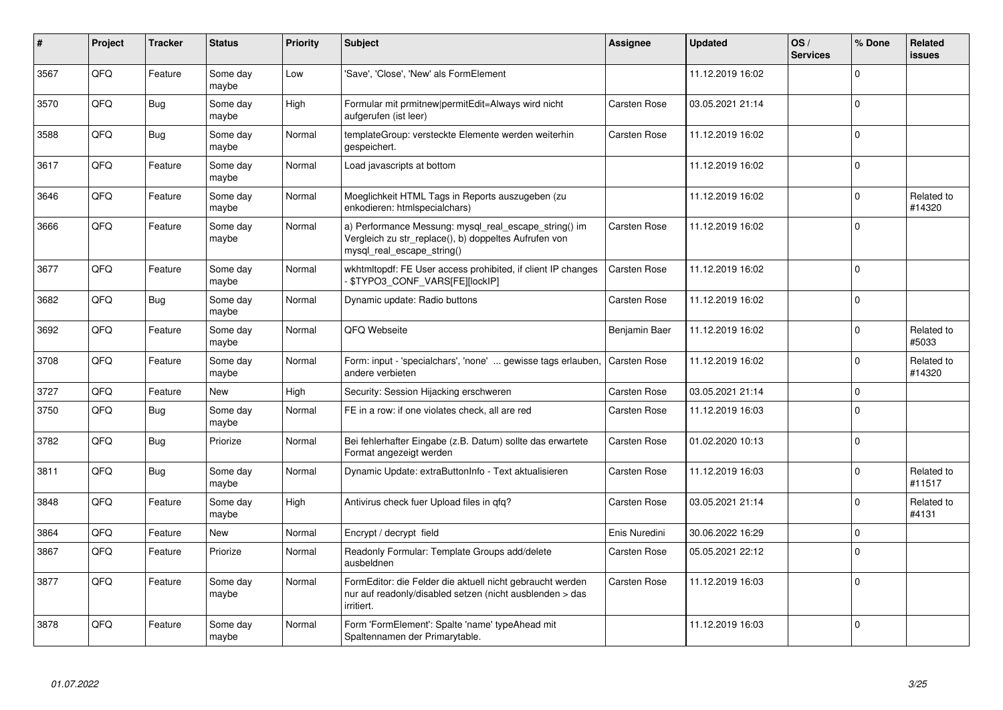| #    | Project | <b>Tracker</b> | <b>Status</b>     | <b>Priority</b> | <b>Subject</b>                                                                                                                               | <b>Assignee</b>     | <b>Updated</b>   | OS/<br><b>Services</b> | % Done   | Related<br><b>issues</b> |
|------|---------|----------------|-------------------|-----------------|----------------------------------------------------------------------------------------------------------------------------------------------|---------------------|------------------|------------------------|----------|--------------------------|
| 3567 | QFQ     | Feature        | Some day<br>maybe | Low             | 'Save', 'Close', 'New' als FormElement                                                                                                       |                     | 11.12.2019 16:02 |                        | $\Omega$ |                          |
| 3570 | QFQ     | Bug            | Some day<br>maybe | High            | Formular mit prmitnew permitEdit=Always wird nicht<br>aufgerufen (ist leer)                                                                  | Carsten Rose        | 03.05.2021 21:14 |                        | $\Omega$ |                          |
| 3588 | QFQ     | Bug            | Some day<br>maybe | Normal          | templateGroup: versteckte Elemente werden weiterhin<br>gespeichert.                                                                          | Carsten Rose        | 11.12.2019 16:02 |                        | $\Omega$ |                          |
| 3617 | QFQ     | Feature        | Some day<br>maybe | Normal          | Load javascripts at bottom                                                                                                                   |                     | 11.12.2019 16:02 |                        | $\Omega$ |                          |
| 3646 | QFQ     | Feature        | Some day<br>maybe | Normal          | Moeglichkeit HTML Tags in Reports auszugeben (zu<br>enkodieren: htmlspecialchars)                                                            |                     | 11.12.2019 16:02 |                        | $\Omega$ | Related to<br>#14320     |
| 3666 | QFQ     | Feature        | Some day<br>maybe | Normal          | a) Performance Messung: mysql_real_escape_string() im<br>Vergleich zu str replace(), b) doppeltes Aufrufen von<br>mysql_real_escape_string() | <b>Carsten Rose</b> | 11.12.2019 16:02 |                        | $\Omega$ |                          |
| 3677 | QFQ     | Feature        | Some day<br>maybe | Normal          | wkhtmltopdf: FE User access prohibited, if client IP changes<br><b>\$TYPO3 CONF VARS[FE][lockIP]</b>                                         | <b>Carsten Rose</b> | 11.12.2019 16:02 |                        | $\Omega$ |                          |
| 3682 | QFQ     | Bug            | Some day<br>maybe | Normal          | Dynamic update: Radio buttons                                                                                                                | Carsten Rose        | 11.12.2019 16:02 |                        | $\Omega$ |                          |
| 3692 | QFQ     | Feature        | Some day<br>maybe | Normal          | QFQ Webseite                                                                                                                                 | Benjamin Baer       | 11.12.2019 16:02 |                        | $\Omega$ | Related to<br>#5033      |
| 3708 | QFQ     | Feature        | Some day<br>maybe | Normal          | Form: input - 'specialchars', 'none'  gewisse tags erlauben,<br>andere verbieten                                                             | Carsten Rose        | 11.12.2019 16:02 |                        | $\Omega$ | Related to<br>#14320     |
| 3727 | QFQ     | Feature        | <b>New</b>        | High            | Security: Session Hijacking erschweren                                                                                                       | Carsten Rose        | 03.05.2021 21:14 |                        | $\Omega$ |                          |
| 3750 | QFQ     | Bug            | Some day<br>maybe | Normal          | FE in a row: if one violates check, all are red                                                                                              | <b>Carsten Rose</b> | 11.12.2019 16:03 |                        | $\Omega$ |                          |
| 3782 | QFQ     | Bug            | Priorize          | Normal          | Bei fehlerhafter Eingabe (z.B. Datum) sollte das erwartete<br>Format angezeigt werden                                                        | <b>Carsten Rose</b> | 01.02.2020 10:13 |                        | $\Omega$ |                          |
| 3811 | QFQ     | <b>Bug</b>     | Some day<br>maybe | Normal          | Dynamic Update: extraButtonInfo - Text aktualisieren                                                                                         | Carsten Rose        | 11.12.2019 16:03 |                        | $\Omega$ | Related to<br>#11517     |
| 3848 | QFQ     | Feature        | Some day<br>maybe | High            | Antivirus check fuer Upload files in qfq?                                                                                                    | Carsten Rose        | 03.05.2021 21:14 |                        | $\Omega$ | Related to<br>#4131      |
| 3864 | QFQ     | Feature        | <b>New</b>        | Normal          | Encrypt / decrypt field                                                                                                                      | Enis Nuredini       | 30.06.2022 16:29 |                        | $\Omega$ |                          |
| 3867 | QFQ     | Feature        | Priorize          | Normal          | Readonly Formular: Template Groups add/delete<br>ausbeldnen                                                                                  | Carsten Rose        | 05.05.2021 22:12 |                        | $\Omega$ |                          |
| 3877 | QFQ     | Feature        | Some day<br>maybe | Normal          | FormEditor: die Felder die aktuell nicht gebraucht werden<br>nur auf readonly/disabled setzen (nicht ausblenden > das<br>irritiert.          | Carsten Rose        | 11.12.2019 16:03 |                        | $\Omega$ |                          |
| 3878 | QFQ     | Feature        | Some day<br>maybe | Normal          | Form 'FormElement': Spalte 'name' typeAhead mit<br>Spaltennamen der Primarytable.                                                            |                     | 11.12.2019 16:03 |                        | $\Omega$ |                          |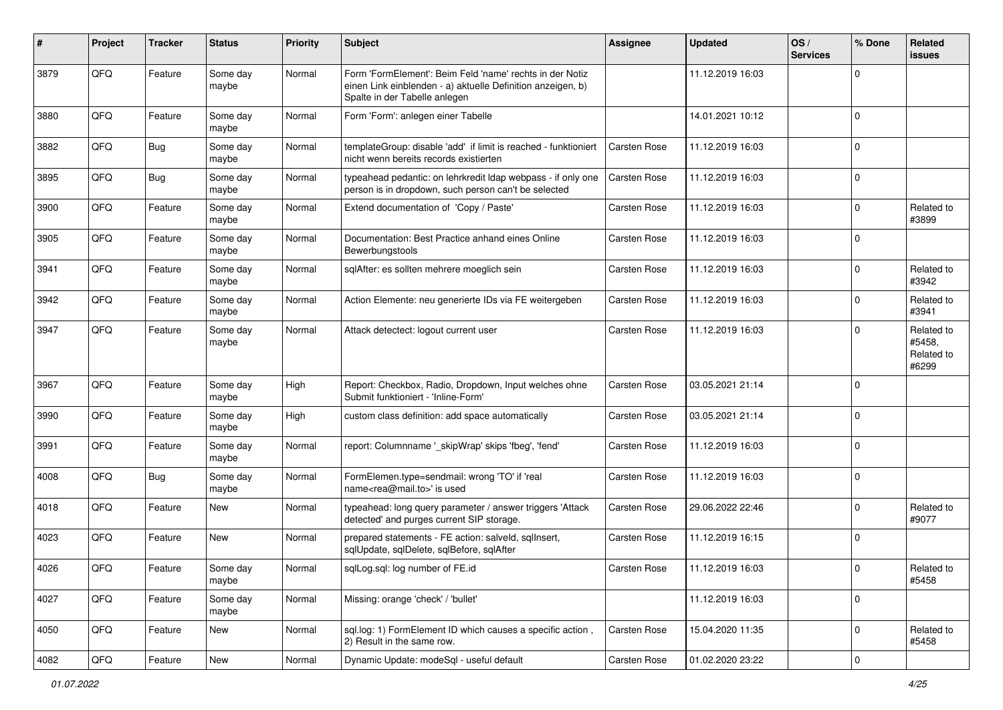| #    | Project | <b>Tracker</b> | <b>Status</b>     | <b>Priority</b> | <b>Subject</b>                                                                                                                                           | <b>Assignee</b>     | <b>Updated</b>   | OS/<br><b>Services</b> | % Done       | Related<br><b>issues</b>                    |
|------|---------|----------------|-------------------|-----------------|----------------------------------------------------------------------------------------------------------------------------------------------------------|---------------------|------------------|------------------------|--------------|---------------------------------------------|
| 3879 | QFQ     | Feature        | Some day<br>maybe | Normal          | Form 'FormElement': Beim Feld 'name' rechts in der Notiz<br>einen Link einblenden - a) aktuelle Definition anzeigen, b)<br>Spalte in der Tabelle anlegen |                     | 11.12.2019 16:03 |                        | $\Omega$     |                                             |
| 3880 | QFQ     | Feature        | Some day<br>maybe | Normal          | Form 'Form': anlegen einer Tabelle                                                                                                                       |                     | 14.01.2021 10:12 |                        | $\Omega$     |                                             |
| 3882 | QFQ     | Bug            | Some day<br>maybe | Normal          | templateGroup: disable 'add' if limit is reached - funktioniert<br>nicht wenn bereits records existierten                                                | Carsten Rose        | 11.12.2019 16:03 |                        | $\Omega$     |                                             |
| 3895 | QFQ     | Bug            | Some day<br>maybe | Normal          | typeahead pedantic: on lehrkredit Idap webpass - if only one<br>person is in dropdown, such person can't be selected                                     | <b>Carsten Rose</b> | 11.12.2019 16:03 |                        | $\Omega$     |                                             |
| 3900 | QFQ     | Feature        | Some day<br>maybe | Normal          | Extend documentation of 'Copy / Paste'                                                                                                                   | <b>Carsten Rose</b> | 11.12.2019 16:03 |                        | $\Omega$     | Related to<br>#3899                         |
| 3905 | QFQ     | Feature        | Some day<br>maybe | Normal          | Documentation: Best Practice anhand eines Online<br>Bewerbungstools                                                                                      | <b>Carsten Rose</b> | 11.12.2019 16:03 |                        | $\Omega$     |                                             |
| 3941 | QFQ     | Feature        | Some day<br>maybe | Normal          | sqlAfter: es sollten mehrere moeglich sein                                                                                                               | <b>Carsten Rose</b> | 11.12.2019 16:03 |                        | $\Omega$     | Related to<br>#3942                         |
| 3942 | QFQ     | Feature        | Some day<br>maybe | Normal          | Action Elemente: neu generierte IDs via FE weitergeben                                                                                                   | <b>Carsten Rose</b> | 11.12.2019 16:03 |                        | <sup>0</sup> | Related to<br>#3941                         |
| 3947 | QFQ     | Feature        | Some day<br>maybe | Normal          | Attack detectect: logout current user                                                                                                                    | <b>Carsten Rose</b> | 11.12.2019 16:03 |                        | $\Omega$     | Related to<br>#5458,<br>Related to<br>#6299 |
| 3967 | QFQ     | Feature        | Some day<br>maybe | High            | Report: Checkbox, Radio, Dropdown, Input welches ohne<br>Submit funktioniert - 'Inline-Form'                                                             | <b>Carsten Rose</b> | 03.05.2021 21:14 |                        | $\Omega$     |                                             |
| 3990 | QFQ     | Feature        | Some day<br>maybe | High            | custom class definition: add space automatically                                                                                                         | <b>Carsten Rose</b> | 03.05.2021 21:14 |                        | $\Omega$     |                                             |
| 3991 | QFQ     | Feature        | Some day<br>maybe | Normal          | report: Columnname '_skipWrap' skips 'fbeg', 'fend'                                                                                                      | <b>Carsten Rose</b> | 11.12.2019 16:03 |                        | $\mathbf 0$  |                                             |
| 4008 | QFQ     | Bug            | Some day<br>maybe | Normal          | FormElemen.type=sendmail: wrong 'TO' if 'real<br>name <rea@mail.to>' is used</rea@mail.to>                                                               | <b>Carsten Rose</b> | 11.12.2019 16:03 |                        | $\mathbf 0$  |                                             |
| 4018 | QFQ     | Feature        | <b>New</b>        | Normal          | typeahead: long query parameter / answer triggers 'Attack<br>detected' and purges current SIP storage.                                                   | Carsten Rose        | 29.06.2022 22:46 |                        | 0            | Related to<br>#9077                         |
| 4023 | QFQ     | Feature        | New               | Normal          | prepared statements - FE action: salveld, sqllnsert,<br>sqlUpdate, sqlDelete, sqlBefore, sqlAfter                                                        | <b>Carsten Rose</b> | 11.12.2019 16:15 |                        | $\Omega$     |                                             |
| 4026 | QFQ     | Feature        | Some day<br>maybe | Normal          | sqlLog.sql: log number of FE.id                                                                                                                          | Carsten Rose        | 11.12.2019 16:03 |                        | $\pmb{0}$    | Related to<br>#5458                         |
| 4027 | QFQ     | Feature        | Some day<br>maybe | Normal          | Missing: orange 'check' / 'bullet'                                                                                                                       |                     | 11.12.2019 16:03 |                        | $\mathbf 0$  |                                             |
| 4050 | QFQ     | Feature        | New               | Normal          | sql.log: 1) FormElement ID which causes a specific action,<br>2) Result in the same row.                                                                 | <b>Carsten Rose</b> | 15.04.2020 11:35 |                        | 0            | Related to<br>#5458                         |
| 4082 | QFQ     | Feature        | New               | Normal          | Dynamic Update: modeSql - useful default                                                                                                                 | Carsten Rose        | 01.02.2020 23:22 |                        | $\mathbf 0$  |                                             |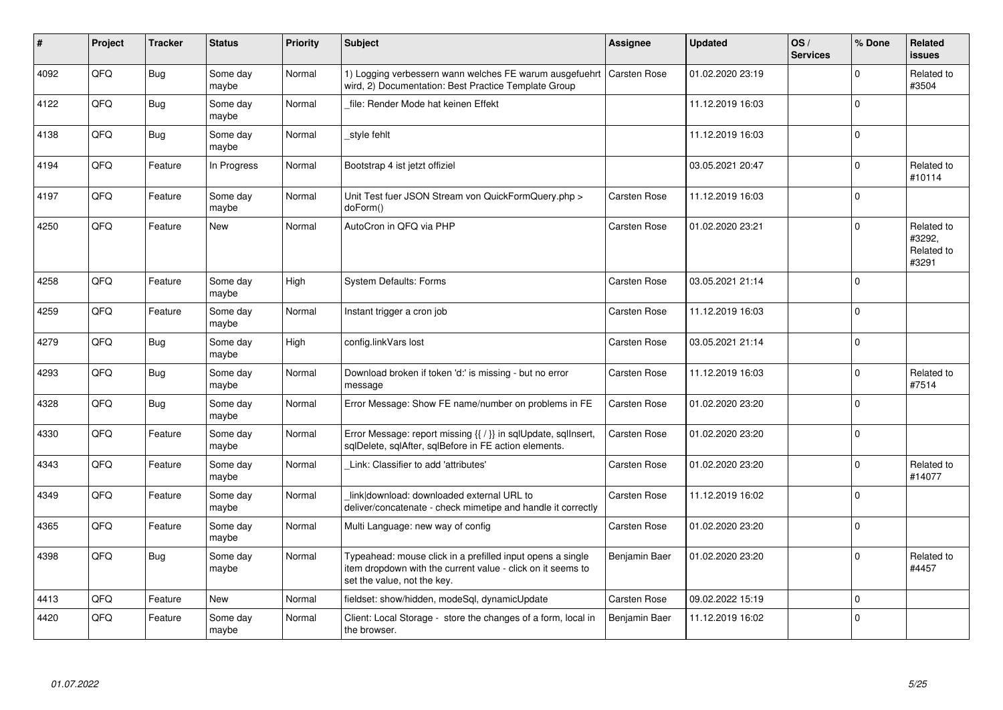| ∦    | Project    | <b>Tracker</b> | <b>Status</b>     | Priority | <b>Subject</b>                                                                                                                                           | Assignee            | <b>Updated</b>   | OS/<br><b>Services</b> | % Done      | Related<br><b>issues</b>                    |
|------|------------|----------------|-------------------|----------|----------------------------------------------------------------------------------------------------------------------------------------------------------|---------------------|------------------|------------------------|-------------|---------------------------------------------|
| 4092 | QFQ        | Bug            | Some day<br>maybe | Normal   | 1) Logging verbessern wann welches FE warum ausgefuehrt<br>wird, 2) Documentation: Best Practice Template Group                                          | <b>Carsten Rose</b> | 01.02.2020 23:19 |                        | $\Omega$    | Related to<br>#3504                         |
| 4122 | QFQ        | Bug            | Some day<br>maybe | Normal   | file: Render Mode hat keinen Effekt                                                                                                                      |                     | 11.12.2019 16:03 |                        | $\Omega$    |                                             |
| 4138 | QFQ        | Bug            | Some day<br>maybe | Normal   | style fehlt                                                                                                                                              |                     | 11.12.2019 16:03 |                        | $\mathbf 0$ |                                             |
| 4194 | QFQ        | Feature        | In Progress       | Normal   | Bootstrap 4 ist jetzt offiziel                                                                                                                           |                     | 03.05.2021 20:47 |                        | $\Omega$    | Related to<br>#10114                        |
| 4197 | QFQ        | Feature        | Some day<br>maybe | Normal   | Unit Test fuer JSON Stream von QuickFormQuery.php ><br>doForm()                                                                                          | <b>Carsten Rose</b> | 11.12.2019 16:03 |                        | $\Omega$    |                                             |
| 4250 | QFQ        | Feature        | <b>New</b>        | Normal   | AutoCron in QFQ via PHP                                                                                                                                  | <b>Carsten Rose</b> | 01.02.2020 23:21 |                        | $\Omega$    | Related to<br>#3292.<br>Related to<br>#3291 |
| 4258 | QFQ        | Feature        | Some day<br>maybe | High     | System Defaults: Forms                                                                                                                                   | <b>Carsten Rose</b> | 03.05.2021 21:14 |                        | $\Omega$    |                                             |
| 4259 | QFQ        | Feature        | Some day<br>maybe | Normal   | Instant trigger a cron job                                                                                                                               | <b>Carsten Rose</b> | 11.12.2019 16:03 |                        | $\mathbf 0$ |                                             |
| 4279 | QFQ        | Bug            | Some day<br>maybe | High     | config.linkVars lost                                                                                                                                     | <b>Carsten Rose</b> | 03.05.2021 21:14 |                        | $\Omega$    |                                             |
| 4293 | QFQ        | Bug            | Some day<br>maybe | Normal   | Download broken if token 'd:' is missing - but no error<br>message                                                                                       | <b>Carsten Rose</b> | 11.12.2019 16:03 |                        | $\Omega$    | Related to<br>#7514                         |
| 4328 | <b>OFO</b> | Bug            | Some day<br>maybe | Normal   | Error Message: Show FE name/number on problems in FE                                                                                                     | <b>Carsten Rose</b> | 01.02.2020 23:20 |                        | $\Omega$    |                                             |
| 4330 | QFQ        | Feature        | Some day<br>maybe | Normal   | Error Message: report missing {{ / }} in sqlUpdate, sqlInsert,<br>sqlDelete, sqlAfter, sqlBefore in FE action elements.                                  | <b>Carsten Rose</b> | 01.02.2020 23:20 |                        | $\mathbf 0$ |                                             |
| 4343 | QFQ        | Feature        | Some day<br>maybe | Normal   | Link: Classifier to add 'attributes'                                                                                                                     | Carsten Rose        | 01.02.2020 23:20 |                        | $\Omega$    | Related to<br>#14077                        |
| 4349 | QFQ        | Feature        | Some day<br>maybe | Normal   | link download: downloaded external URL to<br>deliver/concatenate - check mimetipe and handle it correctly                                                | Carsten Rose        | 11.12.2019 16:02 |                        | $\Omega$    |                                             |
| 4365 | QFQ        | Feature        | Some day<br>maybe | Normal   | Multi Language: new way of config                                                                                                                        | <b>Carsten Rose</b> | 01.02.2020 23:20 |                        | $\Omega$    |                                             |
| 4398 | QFQ        | Bug            | Some day<br>maybe | Normal   | Typeahead: mouse click in a prefilled input opens a single<br>item dropdown with the current value - click on it seems to<br>set the value, not the key. | Benjamin Baer       | 01.02.2020 23:20 |                        | $\Omega$    | Related to<br>#4457                         |
| 4413 | QFQ        | Feature        | <b>New</b>        | Normal   | fieldset: show/hidden, modeSql, dynamicUpdate                                                                                                            | <b>Carsten Rose</b> | 09.02.2022 15:19 |                        | $\Omega$    |                                             |
| 4420 | QFQ        | Feature        | Some day<br>maybe | Normal   | Client: Local Storage - store the changes of a form, local in<br>the browser.                                                                            | Benjamin Baer       | 11.12.2019 16:02 |                        | $\mathbf 0$ |                                             |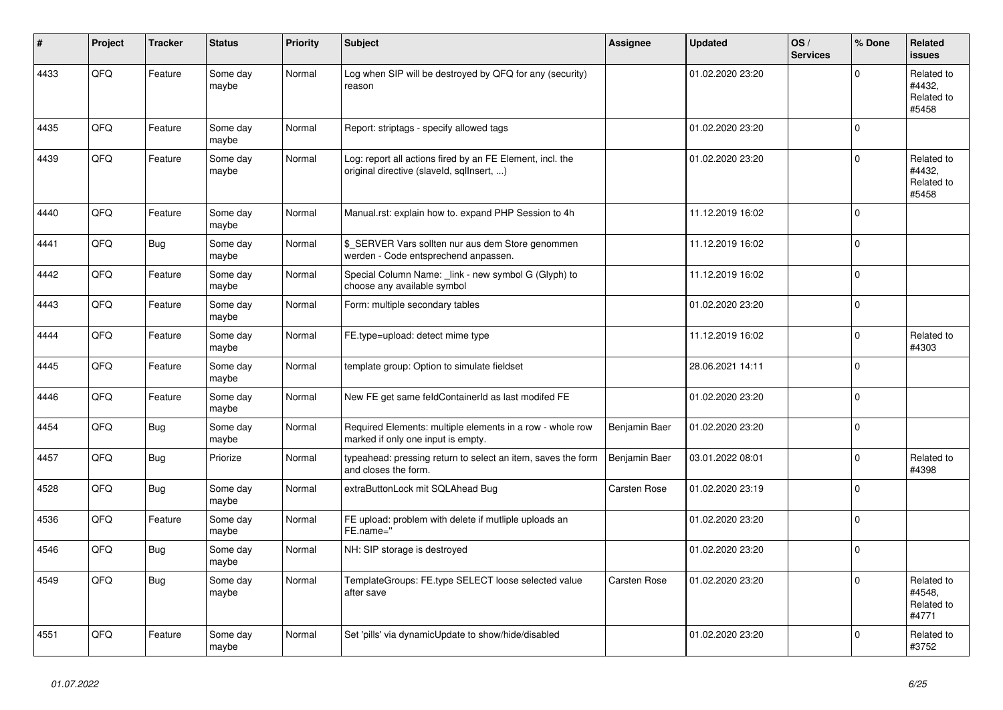| ∦    | Project | <b>Tracker</b> | <b>Status</b>     | <b>Priority</b> | <b>Subject</b>                                                                                         | Assignee            | <b>Updated</b>   | OS/<br><b>Services</b> | % Done      | Related<br><b>issues</b>                    |
|------|---------|----------------|-------------------|-----------------|--------------------------------------------------------------------------------------------------------|---------------------|------------------|------------------------|-------------|---------------------------------------------|
| 4433 | QFQ     | Feature        | Some day<br>maybe | Normal          | Log when SIP will be destroyed by QFQ for any (security)<br>reason                                     |                     | 01.02.2020 23:20 |                        | $\mathbf 0$ | Related to<br>#4432,<br>Related to<br>#5458 |
| 4435 | QFQ     | Feature        | Some day<br>maybe | Normal          | Report: striptags - specify allowed tags                                                               |                     | 01.02.2020 23:20 |                        | $\mathbf 0$ |                                             |
| 4439 | QFQ     | Feature        | Some day<br>maybe | Normal          | Log: report all actions fired by an FE Element, incl. the<br>original directive (slaveld, sqllnsert, ) |                     | 01.02.2020 23:20 |                        | $\mathsf 0$ | Related to<br>#4432.<br>Related to<br>#5458 |
| 4440 | QFQ     | Feature        | Some day<br>maybe | Normal          | Manual.rst: explain how to. expand PHP Session to 4h                                                   |                     | 11.12.2019 16:02 |                        | $\mathbf 0$ |                                             |
| 4441 | QFQ     | <b>Bug</b>     | Some day<br>maybe | Normal          | \$ SERVER Vars sollten nur aus dem Store genommen<br>werden - Code entsprechend anpassen.              |                     | 11.12.2019 16:02 |                        | $\pmb{0}$   |                                             |
| 4442 | QFQ     | Feature        | Some day<br>maybe | Normal          | Special Column Name: _link - new symbol G (Glyph) to<br>choose any available symbol                    |                     | 11.12.2019 16:02 |                        | $\mathbf 0$ |                                             |
| 4443 | QFQ     | Feature        | Some day<br>maybe | Normal          | Form: multiple secondary tables                                                                        |                     | 01.02.2020 23:20 |                        | $\mathbf 0$ |                                             |
| 4444 | QFQ     | Feature        | Some day<br>maybe | Normal          | FE.type=upload: detect mime type                                                                       |                     | 11.12.2019 16:02 |                        | $\mathbf 0$ | Related to<br>#4303                         |
| 4445 | QFQ     | Feature        | Some day<br>maybe | Normal          | template group: Option to simulate fieldset                                                            |                     | 28.06.2021 14:11 |                        | $\mathbf 0$ |                                             |
| 4446 | QFQ     | Feature        | Some day<br>maybe | Normal          | New FE get same feldContainerId as last modifed FE                                                     |                     | 01.02.2020 23:20 |                        | $\mathbf 0$ |                                             |
| 4454 | QFQ     | <b>Bug</b>     | Some day<br>maybe | Normal          | Required Elements: multiple elements in a row - whole row<br>marked if only one input is empty.        | Benjamin Baer       | 01.02.2020 23:20 |                        | $\mathbf 0$ |                                             |
| 4457 | QFQ     | <b>Bug</b>     | Priorize          | Normal          | typeahead: pressing return to select an item, saves the form<br>and closes the form.                   | Benjamin Baer       | 03.01.2022 08:01 |                        | $\Omega$    | Related to<br>#4398                         |
| 4528 | QFQ     | Bug            | Some day<br>maybe | Normal          | extraButtonLock mit SQLAhead Bug                                                                       | <b>Carsten Rose</b> | 01.02.2020 23:19 |                        | $\mathbf 0$ |                                             |
| 4536 | QFQ     | Feature        | Some day<br>maybe | Normal          | FE upload: problem with delete if mutliple uploads an<br>FE.name="                                     |                     | 01.02.2020 23:20 |                        | $\mathsf 0$ |                                             |
| 4546 | QFQ     | Bug            | Some day<br>maybe | Normal          | NH: SIP storage is destroyed                                                                           |                     | 01.02.2020 23:20 |                        | $\Omega$    |                                             |
| 4549 | QFQ     | Bug            | Some day<br>maybe | Normal          | TemplateGroups: FE.type SELECT loose selected value<br>after save                                      | <b>Carsten Rose</b> | 01.02.2020 23:20 |                        | $\mathbf 0$ | Related to<br>#4548,<br>Related to<br>#4771 |
| 4551 | QFQ     | Feature        | Some day<br>maybe | Normal          | Set 'pills' via dynamicUpdate to show/hide/disabled                                                    |                     | 01.02.2020 23:20 |                        | $\mathbf 0$ | Related to<br>#3752                         |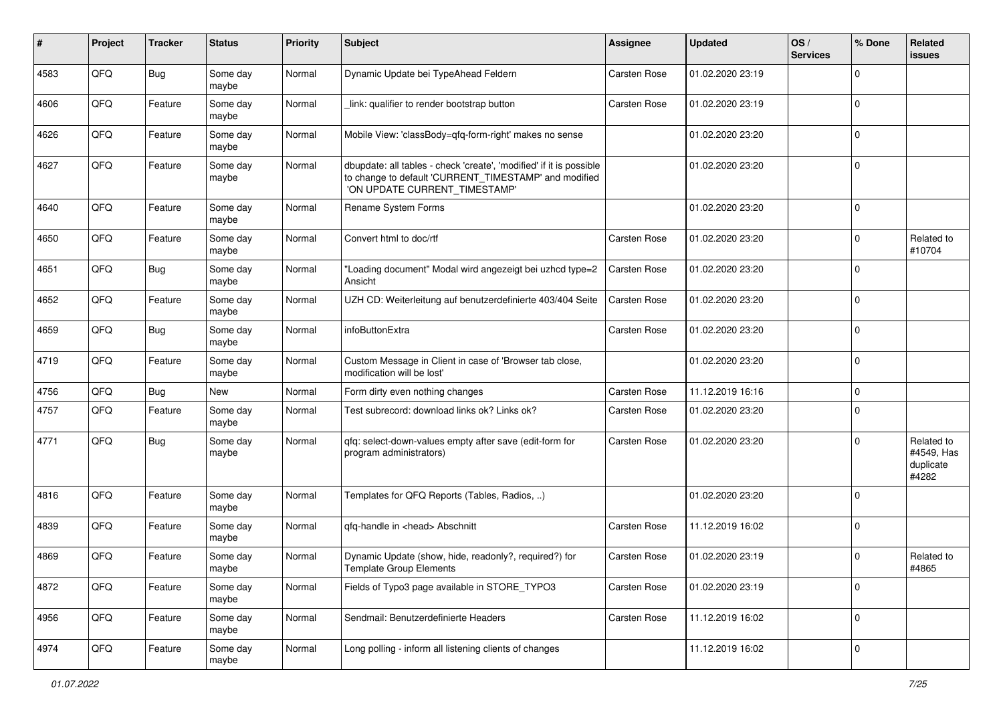| #    | Project | <b>Tracker</b> | <b>Status</b>     | <b>Priority</b> | Subject                                                                                                                                                       | Assignee            | <b>Updated</b>   | OS/<br><b>Services</b> | % Done      | Related<br>issues                              |
|------|---------|----------------|-------------------|-----------------|---------------------------------------------------------------------------------------------------------------------------------------------------------------|---------------------|------------------|------------------------|-------------|------------------------------------------------|
| 4583 | QFQ     | <b>Bug</b>     | Some day<br>maybe | Normal          | Dynamic Update bei TypeAhead Feldern                                                                                                                          | Carsten Rose        | 01.02.2020 23:19 |                        | $\Omega$    |                                                |
| 4606 | QFQ     | Feature        | Some day<br>maybe | Normal          | link: qualifier to render bootstrap button                                                                                                                    | <b>Carsten Rose</b> | 01.02.2020 23:19 |                        | $\Omega$    |                                                |
| 4626 | QFQ     | Feature        | Some day<br>maybe | Normal          | Mobile View: 'classBody=qfq-form-right' makes no sense                                                                                                        |                     | 01.02.2020 23:20 |                        | $\Omega$    |                                                |
| 4627 | QFQ     | Feature        | Some day<br>maybe | Normal          | dbupdate: all tables - check 'create', 'modified' if it is possible<br>to change to default 'CURRENT_TIMESTAMP' and modified<br>'ON UPDATE CURRENT_TIMESTAMP' |                     | 01.02.2020 23:20 |                        | $\Omega$    |                                                |
| 4640 | QFQ     | Feature        | Some day<br>maybe | Normal          | Rename System Forms                                                                                                                                           |                     | 01.02.2020 23:20 |                        | $\mathbf 0$ |                                                |
| 4650 | QFQ     | Feature        | Some day<br>maybe | Normal          | Convert html to doc/rtf                                                                                                                                       | Carsten Rose        | 01.02.2020 23:20 |                        | $\mathbf 0$ | Related to<br>#10704                           |
| 4651 | QFQ     | Bug            | Some day<br>maybe | Normal          | 'Loading document" Modal wird angezeigt bei uzhcd type=2<br>Ansicht                                                                                           | <b>Carsten Rose</b> | 01.02.2020 23:20 |                        | $\Omega$    |                                                |
| 4652 | QFQ     | Feature        | Some day<br>maybe | Normal          | UZH CD: Weiterleitung auf benutzerdefinierte 403/404 Seite                                                                                                    | <b>Carsten Rose</b> | 01.02.2020 23:20 |                        | $\Omega$    |                                                |
| 4659 | QFQ     | Bug            | Some day<br>maybe | Normal          | infoButtonExtra                                                                                                                                               | <b>Carsten Rose</b> | 01.02.2020 23:20 |                        | $\mathbf 0$ |                                                |
| 4719 | QFQ     | Feature        | Some day<br>maybe | Normal          | Custom Message in Client in case of 'Browser tab close,<br>modification will be lost'                                                                         |                     | 01.02.2020 23:20 |                        | 0           |                                                |
| 4756 | QFQ     | Bug            | New               | Normal          | Form dirty even nothing changes                                                                                                                               | Carsten Rose        | 11.12.2019 16:16 |                        | $\mathbf 0$ |                                                |
| 4757 | QFQ     | Feature        | Some day<br>maybe | Normal          | Test subrecord: download links ok? Links ok?                                                                                                                  | Carsten Rose        | 01.02.2020 23:20 |                        | $\Omega$    |                                                |
| 4771 | QFQ     | Bug            | Some day<br>maybe | Normal          | qfq: select-down-values empty after save (edit-form for<br>program administrators)                                                                            | <b>Carsten Rose</b> | 01.02.2020 23:20 |                        | $\Omega$    | Related to<br>#4549, Has<br>duplicate<br>#4282 |
| 4816 | QFQ     | Feature        | Some day<br>maybe | Normal          | Templates for QFQ Reports (Tables, Radios, )                                                                                                                  |                     | 01.02.2020 23:20 |                        | $\Omega$    |                                                |
| 4839 | QFQ     | Feature        | Some day<br>maybe | Normal          | qfq-handle in <head> Abschnitt</head>                                                                                                                         | Carsten Rose        | 11.12.2019 16:02 |                        | $\Omega$    |                                                |
| 4869 | QFQ     | Feature        | Some day<br>maybe | Normal          | Dynamic Update (show, hide, readonly?, required?) for<br><b>Template Group Elements</b>                                                                       | <b>Carsten Rose</b> | 01.02.2020 23:19 |                        | $\Omega$    | Related to<br>#4865                            |
| 4872 | QFQ     | Feature        | Some day<br>maybe | Normal          | Fields of Typo3 page available in STORE_TYPO3                                                                                                                 | Carsten Rose        | 01.02.2020 23:19 |                        | $\mathbf 0$ |                                                |
| 4956 | QFQ     | Feature        | Some day<br>maybe | Normal          | Sendmail: Benutzerdefinierte Headers                                                                                                                          | Carsten Rose        | 11.12.2019 16:02 |                        | 0           |                                                |
| 4974 | QFQ     | Feature        | Some day<br>maybe | Normal          | Long polling - inform all listening clients of changes                                                                                                        |                     | 11.12.2019 16:02 |                        | 0           |                                                |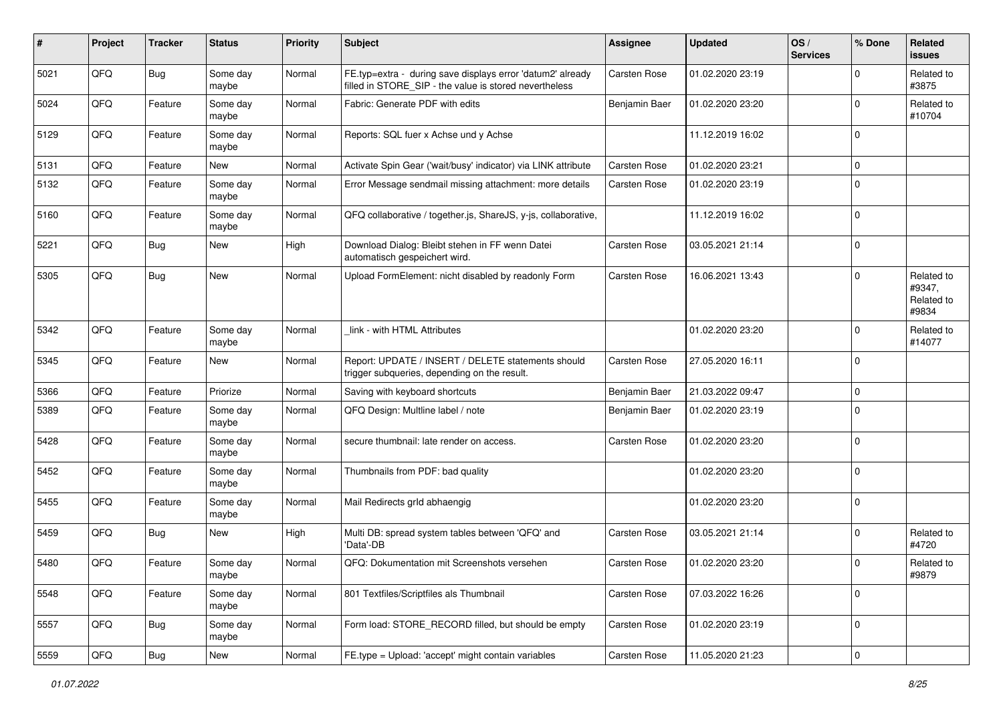| #    | Project | <b>Tracker</b> | <b>Status</b>     | <b>Priority</b> | <b>Subject</b>                                                                                                       | <b>Assignee</b>     | Updated          | OS/<br><b>Services</b> | % Done      | Related<br>issues                           |
|------|---------|----------------|-------------------|-----------------|----------------------------------------------------------------------------------------------------------------------|---------------------|------------------|------------------------|-------------|---------------------------------------------|
| 5021 | QFQ     | Bug            | Some day<br>maybe | Normal          | FE.typ=extra - during save displays error 'datum2' already<br>filled in STORE_SIP - the value is stored nevertheless | <b>Carsten Rose</b> | 01.02.2020 23:19 |                        | $\Omega$    | Related to<br>#3875                         |
| 5024 | QFQ     | Feature        | Some day<br>maybe | Normal          | Fabric: Generate PDF with edits                                                                                      | Benjamin Baer       | 01.02.2020 23:20 |                        | $\Omega$    | Related to<br>#10704                        |
| 5129 | QFQ     | Feature        | Some day<br>maybe | Normal          | Reports: SQL fuer x Achse und y Achse                                                                                |                     | 11.12.2019 16:02 |                        | $\Omega$    |                                             |
| 5131 | QFQ     | Feature        | New               | Normal          | Activate Spin Gear ('wait/busy' indicator) via LINK attribute                                                        | <b>Carsten Rose</b> | 01.02.2020 23:21 |                        | $\mathbf 0$ |                                             |
| 5132 | QFQ     | Feature        | Some day<br>maybe | Normal          | Error Message sendmail missing attachment: more details                                                              | <b>Carsten Rose</b> | 01.02.2020 23:19 |                        | $\Omega$    |                                             |
| 5160 | QFQ     | Feature        | Some day<br>maybe | Normal          | QFQ collaborative / together.js, ShareJS, y-js, collaborative,                                                       |                     | 11.12.2019 16:02 |                        | $\mathbf 0$ |                                             |
| 5221 | QFQ     | Bug            | <b>New</b>        | High            | Download Dialog: Bleibt stehen in FF wenn Datei<br>automatisch gespeichert wird.                                     | <b>Carsten Rose</b> | 03.05.2021 21:14 |                        | $\mathbf 0$ |                                             |
| 5305 | QFQ     | Bug            | New               | Normal          | Upload FormElement: nicht disabled by readonly Form                                                                  | <b>Carsten Rose</b> | 16.06.2021 13:43 |                        | $\Omega$    | Related to<br>#9347,<br>Related to<br>#9834 |
| 5342 | QFQ     | Feature        | Some day<br>maybe | Normal          | link - with HTML Attributes                                                                                          |                     | 01.02.2020 23:20 |                        | $\Omega$    | Related to<br>#14077                        |
| 5345 | QFQ     | Feature        | <b>New</b>        | Normal          | Report: UPDATE / INSERT / DELETE statements should<br>trigger subqueries, depending on the result.                   | <b>Carsten Rose</b> | 27.05.2020 16:11 |                        | $\mathbf 0$ |                                             |
| 5366 | QFQ     | Feature        | Priorize          | Normal          | Saving with keyboard shortcuts                                                                                       | Benjamin Baer       | 21.03.2022 09:47 |                        | 0           |                                             |
| 5389 | QFQ     | Feature        | Some day<br>maybe | Normal          | QFQ Design: Multline label / note                                                                                    | Benjamin Baer       | 01.02.2020 23:19 |                        | $\Omega$    |                                             |
| 5428 | QFQ     | Feature        | Some day<br>maybe | Normal          | secure thumbnail: late render on access.                                                                             | <b>Carsten Rose</b> | 01.02.2020 23:20 |                        | $\Omega$    |                                             |
| 5452 | QFQ     | Feature        | Some day<br>maybe | Normal          | Thumbnails from PDF: bad quality                                                                                     |                     | 01.02.2020 23:20 |                        | $\Omega$    |                                             |
| 5455 | QFQ     | Feature        | Some day<br>maybe | Normal          | Mail Redirects grld abhaengig                                                                                        |                     | 01.02.2020 23:20 |                        | $\mathbf 0$ |                                             |
| 5459 | QFQ     | Bug            | <b>New</b>        | High            | Multi DB: spread system tables between 'QFQ' and<br>'Data'-DB                                                        | <b>Carsten Rose</b> | 03.05.2021 21:14 |                        | $\Omega$    | Related to<br>#4720                         |
| 5480 | QFQ     | Feature        | Some day<br>maybe | Normal          | QFQ: Dokumentation mit Screenshots versehen                                                                          | <b>Carsten Rose</b> | 01.02.2020 23:20 |                        | $\Omega$    | Related to<br>#9879                         |
| 5548 | QFQ     | Feature        | Some day<br>maybe | Normal          | 801 Textfiles/Scriptfiles als Thumbnail                                                                              | Carsten Rose        | 07.03.2022 16:26 |                        | $\mathbf 0$ |                                             |
| 5557 | QFG     | <b>Bug</b>     | Some day<br>maybe | Normal          | Form load: STORE_RECORD filled, but should be empty                                                                  | Carsten Rose        | 01.02.2020 23:19 |                        | $\mathbf 0$ |                                             |
| 5559 | QFQ     | Bug            | New               | Normal          | FE.type = Upload: 'accept' might contain variables                                                                   | Carsten Rose        | 11.05.2020 21:23 |                        | $\mathbf 0$ |                                             |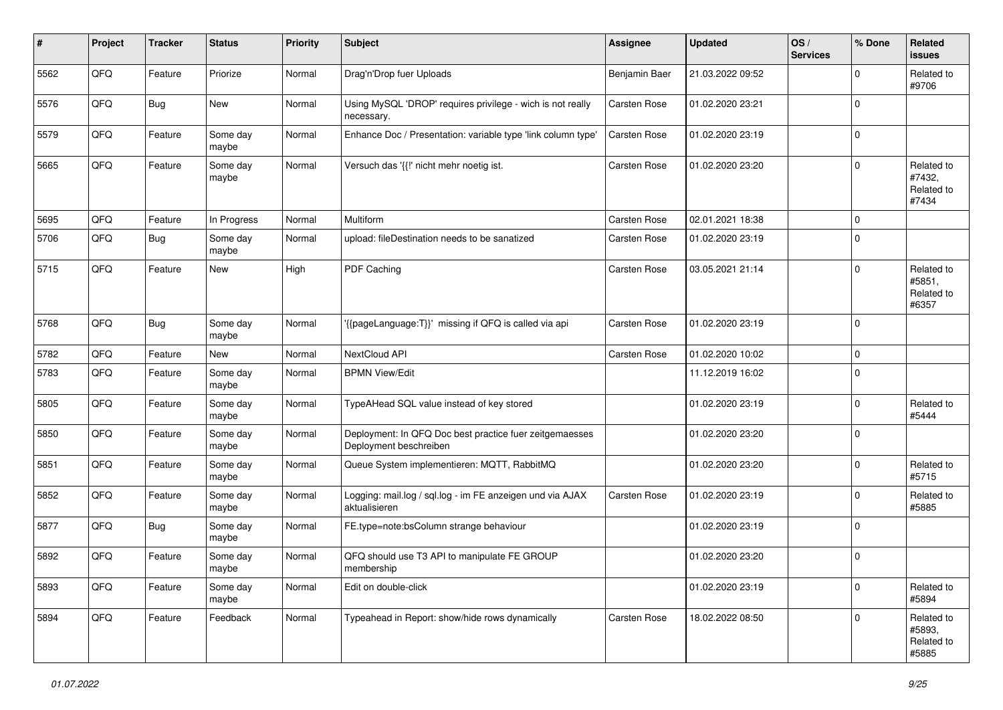| #    | Project | <b>Tracker</b> | <b>Status</b>     | <b>Priority</b> | <b>Subject</b>                                                                    | <b>Assignee</b>     | <b>Updated</b>   | OS/<br><b>Services</b> | % Done      | Related<br>issues                           |
|------|---------|----------------|-------------------|-----------------|-----------------------------------------------------------------------------------|---------------------|------------------|------------------------|-------------|---------------------------------------------|
| 5562 | QFQ     | Feature        | Priorize          | Normal          | Drag'n'Drop fuer Uploads                                                          | Benjamin Baer       | 21.03.2022 09:52 |                        | $\Omega$    | Related to<br>#9706                         |
| 5576 | QFQ     | Bug            | New               | Normal          | Using MySQL 'DROP' requires privilege - wich is not really<br>necessary.          | <b>Carsten Rose</b> | 01.02.2020 23:21 |                        | $\Omega$    |                                             |
| 5579 | QFQ     | Feature        | Some day<br>maybe | Normal          | Enhance Doc / Presentation: variable type 'link column type'                      | <b>Carsten Rose</b> | 01.02.2020 23:19 |                        | $\Omega$    |                                             |
| 5665 | QFQ     | Feature        | Some day<br>maybe | Normal          | Versuch das '{{!' nicht mehr noetig ist.                                          | <b>Carsten Rose</b> | 01.02.2020 23:20 |                        | $\Omega$    | Related to<br>#7432,<br>Related to<br>#7434 |
| 5695 | QFQ     | Feature        | In Progress       | Normal          | Multiform                                                                         | <b>Carsten Rose</b> | 02.01.2021 18:38 |                        | $\Omega$    |                                             |
| 5706 | QFQ     | Bug            | Some day<br>maybe | Normal          | upload: fileDestination needs to be sanatized                                     | <b>Carsten Rose</b> | 01.02.2020 23:19 |                        | $\Omega$    |                                             |
| 5715 | QFQ     | Feature        | New               | High            | PDF Caching                                                                       | Carsten Rose        | 03.05.2021 21:14 |                        | $\Omega$    | Related to<br>#5851,<br>Related to<br>#6357 |
| 5768 | QFQ     | Bug            | Some day<br>maybe | Normal          | '{{pageLanguage:T}}' missing if QFQ is called via api                             | <b>Carsten Rose</b> | 01.02.2020 23:19 |                        | $\mathbf 0$ |                                             |
| 5782 | QFQ     | Feature        | <b>New</b>        | Normal          | NextCloud API                                                                     | Carsten Rose        | 01.02.2020 10:02 |                        | $\mathbf 0$ |                                             |
| 5783 | QFQ     | Feature        | Some day<br>maybe | Normal          | <b>BPMN View/Edit</b>                                                             |                     | 11.12.2019 16:02 |                        | $\Omega$    |                                             |
| 5805 | QFQ     | Feature        | Some day<br>maybe | Normal          | TypeAHead SQL value instead of key stored                                         |                     | 01.02.2020 23:19 |                        | 0           | Related to<br>#5444                         |
| 5850 | QFQ     | Feature        | Some day<br>maybe | Normal          | Deployment: In QFQ Doc best practice fuer zeitgemaesses<br>Deployment beschreiben |                     | 01.02.2020 23:20 |                        | $\Omega$    |                                             |
| 5851 | QFQ     | Feature        | Some day<br>maybe | Normal          | Queue System implementieren: MQTT, RabbitMQ                                       |                     | 01.02.2020 23:20 |                        | $\Omega$    | Related to<br>#5715                         |
| 5852 | QFQ     | Feature        | Some day<br>maybe | Normal          | Logging: mail.log / sql.log - im FE anzeigen und via AJAX<br>aktualisieren        | <b>Carsten Rose</b> | 01.02.2020 23:19 |                        | $\Omega$    | Related to<br>#5885                         |
| 5877 | QFQ     | Bug            | Some day<br>maybe | Normal          | FE.type=note:bsColumn strange behaviour                                           |                     | 01.02.2020 23:19 |                        | $\Omega$    |                                             |
| 5892 | QFQ     | Feature        | Some day<br>maybe | Normal          | QFQ should use T3 API to manipulate FE GROUP<br>membership                        |                     | 01.02.2020 23:20 |                        | $\Omega$    |                                             |
| 5893 | QFQ     | Feature        | Some day<br>maybe | Normal          | Edit on double-click                                                              |                     | 01.02.2020 23:19 |                        | $\mathbf 0$ | Related to<br>#5894                         |
| 5894 | QFQ     | Feature        | Feedback          | Normal          | Typeahead in Report: show/hide rows dynamically                                   | Carsten Rose        | 18.02.2022 08:50 |                        | $\mathbf 0$ | Related to<br>#5893,<br>Related to<br>#5885 |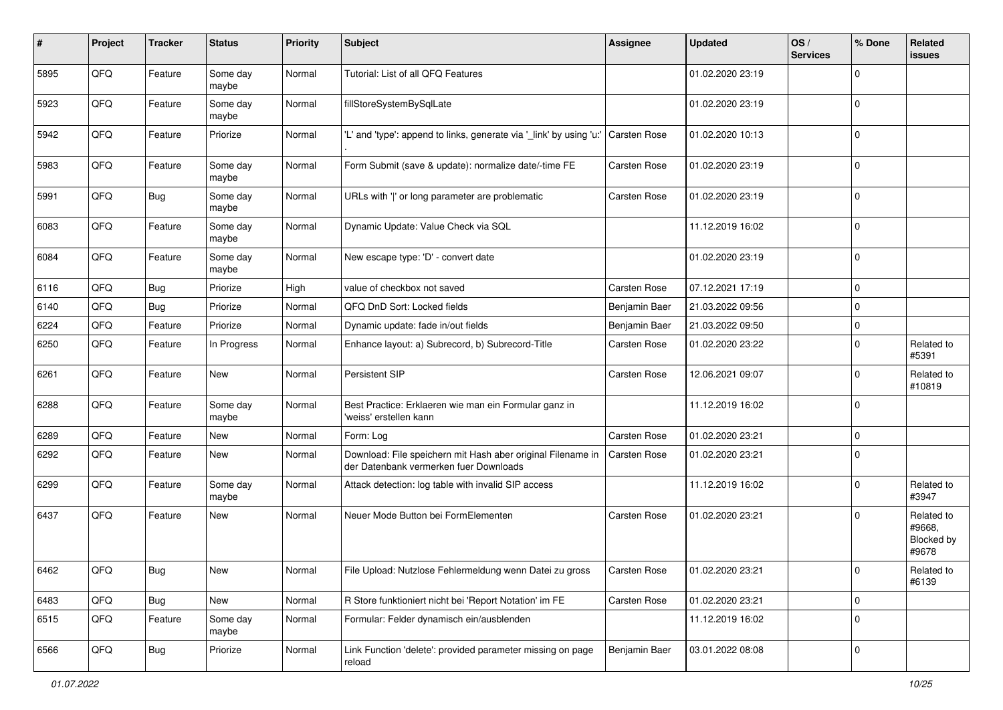| #    | Project | <b>Tracker</b> | <b>Status</b>     | <b>Priority</b> | <b>Subject</b>                                                                                        | <b>Assignee</b>     | <b>Updated</b>   | OS/<br><b>Services</b> | % Done      | Related<br>issues                           |
|------|---------|----------------|-------------------|-----------------|-------------------------------------------------------------------------------------------------------|---------------------|------------------|------------------------|-------------|---------------------------------------------|
| 5895 | QFQ     | Feature        | Some day<br>maybe | Normal          | Tutorial: List of all QFQ Features                                                                    |                     | 01.02.2020 23:19 |                        | $\Omega$    |                                             |
| 5923 | QFQ     | Feature        | Some day<br>maybe | Normal          | fillStoreSystemBySqlLate                                                                              |                     | 01.02.2020 23:19 |                        | 0           |                                             |
| 5942 | QFQ     | Feature        | Priorize          | Normal          | 'L' and 'type': append to links, generate via '_link' by using 'u:'                                   | <b>Carsten Rose</b> | 01.02.2020 10:13 |                        | $\Omega$    |                                             |
| 5983 | QFQ     | Feature        | Some day<br>maybe | Normal          | Form Submit (save & update): normalize date/-time FE                                                  | <b>Carsten Rose</b> | 01.02.2020 23:19 |                        | 0           |                                             |
| 5991 | QFQ     | Bug            | Some day<br>maybe | Normal          | URLs with ' ' or long parameter are problematic                                                       | <b>Carsten Rose</b> | 01.02.2020 23:19 |                        | $\Omega$    |                                             |
| 6083 | QFQ     | Feature        | Some day<br>maybe | Normal          | Dynamic Update: Value Check via SQL                                                                   |                     | 11.12.2019 16:02 |                        | $\Omega$    |                                             |
| 6084 | QFQ     | Feature        | Some day<br>maybe | Normal          | New escape type: 'D' - convert date                                                                   |                     | 01.02.2020 23:19 |                        | $\Omega$    |                                             |
| 6116 | QFQ     | Bug            | Priorize          | High            | value of checkbox not saved                                                                           | <b>Carsten Rose</b> | 07.12.2021 17:19 |                        | 0           |                                             |
| 6140 | QFQ     | Bug            | Priorize          | Normal          | QFQ DnD Sort: Locked fields                                                                           | Benjamin Baer       | 21.03.2022 09:56 |                        | 0           |                                             |
| 6224 | QFQ     | Feature        | Priorize          | Normal          | Dynamic update: fade in/out fields                                                                    | Benjamin Baer       | 21.03.2022 09:50 |                        | $\Omega$    |                                             |
| 6250 | QFQ     | Feature        | In Progress       | Normal          | Enhance layout: a) Subrecord, b) Subrecord-Title                                                      | <b>Carsten Rose</b> | 01.02.2020 23:22 |                        | 0           | Related to<br>#5391                         |
| 6261 | QFQ     | Feature        | <b>New</b>        | Normal          | Persistent SIP                                                                                        | <b>Carsten Rose</b> | 12.06.2021 09:07 |                        | $\Omega$    | Related to<br>#10819                        |
| 6288 | QFQ     | Feature        | Some day<br>maybe | Normal          | Best Practice: Erklaeren wie man ein Formular ganz in<br>'weiss' erstellen kann                       |                     | 11.12.2019 16:02 |                        | 0           |                                             |
| 6289 | QFQ     | Feature        | New               | Normal          | Form: Log                                                                                             | <b>Carsten Rose</b> | 01.02.2020 23:21 |                        | 0           |                                             |
| 6292 | QFQ     | Feature        | New               | Normal          | Download: File speichern mit Hash aber original Filename in<br>der Datenbank vermerken fuer Downloads | Carsten Rose        | 01.02.2020 23:21 |                        | $\Omega$    |                                             |
| 6299 | QFQ     | Feature        | Some day<br>maybe | Normal          | Attack detection: log table with invalid SIP access                                                   |                     | 11.12.2019 16:02 |                        | $\Omega$    | Related to<br>#3947                         |
| 6437 | QFQ     | Feature        | <b>New</b>        | Normal          | Neuer Mode Button bei FormElementen                                                                   | <b>Carsten Rose</b> | 01.02.2020 23:21 |                        | $\Omega$    | Related to<br>#9668,<br>Blocked by<br>#9678 |
| 6462 | QFQ     | Bug            | <b>New</b>        | Normal          | File Upload: Nutzlose Fehlermeldung wenn Datei zu gross                                               | Carsten Rose        | 01.02.2020 23:21 |                        | O           | Related to<br>#6139                         |
| 6483 | QFQ     | Bug            | New               | Normal          | R Store funktioniert nicht bei 'Report Notation' im FE                                                | Carsten Rose        | 01.02.2020 23:21 |                        | 0           |                                             |
| 6515 | QFQ     | Feature        | Some day<br>maybe | Normal          | Formular: Felder dynamisch ein/ausblenden                                                             |                     | 11.12.2019 16:02 |                        | $\mathbf 0$ |                                             |
| 6566 | QFQ     | Bug            | Priorize          | Normal          | Link Function 'delete': provided parameter missing on page<br>reload                                  | Benjamin Baer       | 03.01.2022 08:08 |                        | 0           |                                             |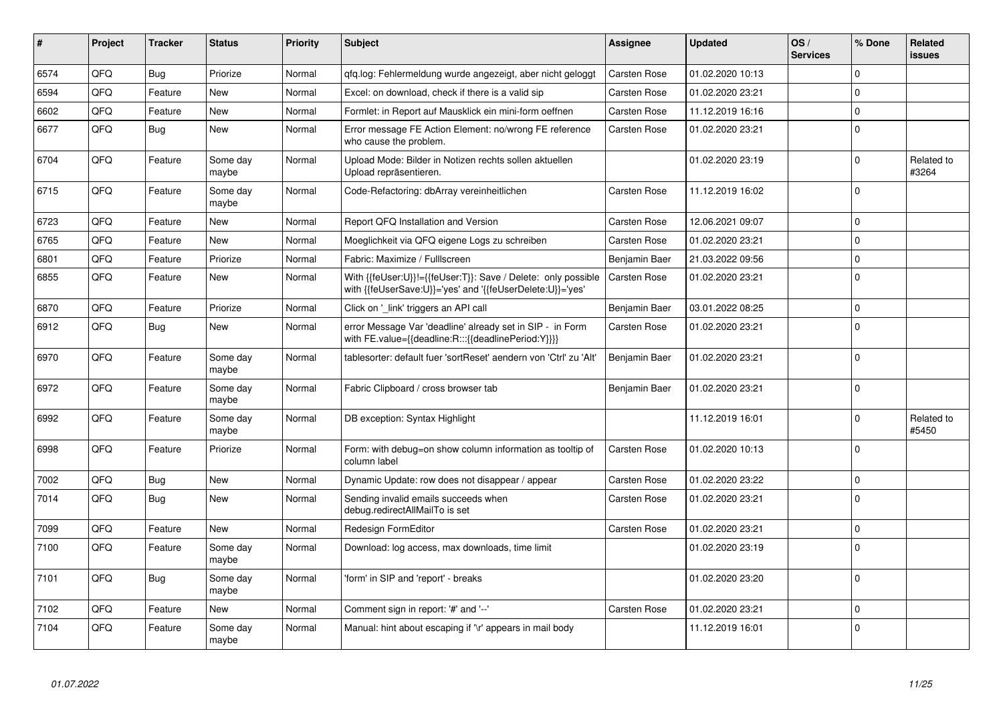| #    | Project | <b>Tracker</b> | <b>Status</b>     | <b>Priority</b> | <b>Subject</b>                                                                                                             | <b>Assignee</b>     | <b>Updated</b>   | OS/<br><b>Services</b> | % Done   | Related<br><b>issues</b> |
|------|---------|----------------|-------------------|-----------------|----------------------------------------------------------------------------------------------------------------------------|---------------------|------------------|------------------------|----------|--------------------------|
| 6574 | QFQ     | Bug            | Priorize          | Normal          | gfg.log: Fehlermeldung wurde angezeigt, aber nicht geloggt                                                                 | Carsten Rose        | 01.02.2020 10:13 |                        | $\Omega$ |                          |
| 6594 | QFQ     | Feature        | New               | Normal          | Excel: on download, check if there is a valid sip                                                                          | <b>Carsten Rose</b> | 01.02.2020 23:21 |                        | $\Omega$ |                          |
| 6602 | QFQ     | Feature        | <b>New</b>        | Normal          | Formlet: in Report auf Mausklick ein mini-form oeffnen                                                                     | Carsten Rose        | 11.12.2019 16:16 |                        | $\Omega$ |                          |
| 6677 | QFQ     | Bug            | <b>New</b>        | Normal          | Error message FE Action Element: no/wrong FE reference<br>who cause the problem.                                           | <b>Carsten Rose</b> | 01.02.2020 23:21 |                        | $\Omega$ |                          |
| 6704 | QFQ     | Feature        | Some day<br>maybe | Normal          | Upload Mode: Bilder in Notizen rechts sollen aktuellen<br>Upload repräsentieren.                                           |                     | 01.02.2020 23:19 |                        | $\Omega$ | Related to<br>#3264      |
| 6715 | QFQ     | Feature        | Some day<br>maybe | Normal          | Code-Refactoring: dbArray vereinheitlichen                                                                                 | Carsten Rose        | 11.12.2019 16:02 |                        | $\Omega$ |                          |
| 6723 | QFQ     | Feature        | <b>New</b>        | Normal          | Report QFQ Installation and Version                                                                                        | <b>Carsten Rose</b> | 12.06.2021 09:07 |                        | $\Omega$ |                          |
| 6765 | QFQ     | Feature        | <b>New</b>        | Normal          | Moeglichkeit via QFQ eigene Logs zu schreiben                                                                              | <b>Carsten Rose</b> | 01.02.2020 23:21 |                        | $\Omega$ |                          |
| 6801 | QFQ     | Feature        | Priorize          | Normal          | Fabric: Maximize / Fulllscreen                                                                                             | Benjamin Baer       | 21.03.2022 09:56 |                        | $\Omega$ |                          |
| 6855 | QFQ     | Feature        | New               | Normal          | With {{feUser:U}}!={{feUser:T}}: Save / Delete: only possible<br>with {{feUserSave:U}}='yes' and '{{feUserDelete:U}}='yes' | <b>Carsten Rose</b> | 01.02.2020 23:21 |                        | $\Omega$ |                          |
| 6870 | QFQ     | Feature        | Priorize          | Normal          | Click on '_link' triggers an API call                                                                                      | Benjamin Baer       | 03.01.2022 08:25 |                        | 0        |                          |
| 6912 | QFQ     | Bug            | <b>New</b>        | Normal          | error Message Var 'deadline' already set in SIP - in Form<br>with FE.value={{deadline:R:::{{deadlinePeriod:Y}}}}           | <b>Carsten Rose</b> | 01.02.2020 23:21 |                        | $\Omega$ |                          |
| 6970 | QFQ     | Feature        | Some day<br>maybe | Normal          | tablesorter: default fuer 'sortReset' aendern von 'Ctrl' zu 'Alt'                                                          | Benjamin Baer       | 01.02.2020 23:21 |                        | $\Omega$ |                          |
| 6972 | QFQ     | Feature        | Some day<br>maybe | Normal          | Fabric Clipboard / cross browser tab                                                                                       | Benjamin Baer       | 01.02.2020 23:21 |                        | $\Omega$ |                          |
| 6992 | QFQ     | Feature        | Some day<br>maybe | Normal          | DB exception: Syntax Highlight                                                                                             |                     | 11.12.2019 16:01 |                        | $\Omega$ | Related to<br>#5450      |
| 6998 | QFQ     | Feature        | Priorize          | Normal          | Form: with debug=on show column information as tooltip of<br>column label                                                  | <b>Carsten Rose</b> | 01.02.2020 10:13 |                        | $\Omega$ |                          |
| 7002 | QFQ     | Bug            | <b>New</b>        | Normal          | Dynamic Update: row does not disappear / appear                                                                            | <b>Carsten Rose</b> | 01.02.2020 23:22 |                        | $\Omega$ |                          |
| 7014 | QFQ     | Bug            | <b>New</b>        | Normal          | Sending invalid emails succeeds when<br>debug.redirectAllMailTo is set                                                     | <b>Carsten Rose</b> | 01.02.2020 23:21 |                        | $\Omega$ |                          |
| 7099 | QFQ     | Feature        | <b>New</b>        | Normal          | Redesign FormEditor                                                                                                        | Carsten Rose        | 01.02.2020 23:21 |                        | $\Omega$ |                          |
| 7100 | QFQ     | Feature        | Some day<br>maybe | Normal          | Download: log access, max downloads, time limit                                                                            |                     | 01.02.2020 23:19 |                        | $\Omega$ |                          |
| 7101 | QFQ     | Bug            | Some day<br>maybe | Normal          | 'form' in SIP and 'report' - breaks                                                                                        |                     | 01.02.2020 23:20 |                        | $\Omega$ |                          |
| 7102 | QFQ     | Feature        | <b>New</b>        | Normal          | Comment sign in report: '#' and '--'                                                                                       | <b>Carsten Rose</b> | 01.02.2020 23:21 |                        | 0        |                          |
| 7104 | QFQ     | Feature        | Some day<br>maybe | Normal          | Manual: hint about escaping if '\r' appears in mail body                                                                   |                     | 11.12.2019 16:01 |                        | $\Omega$ |                          |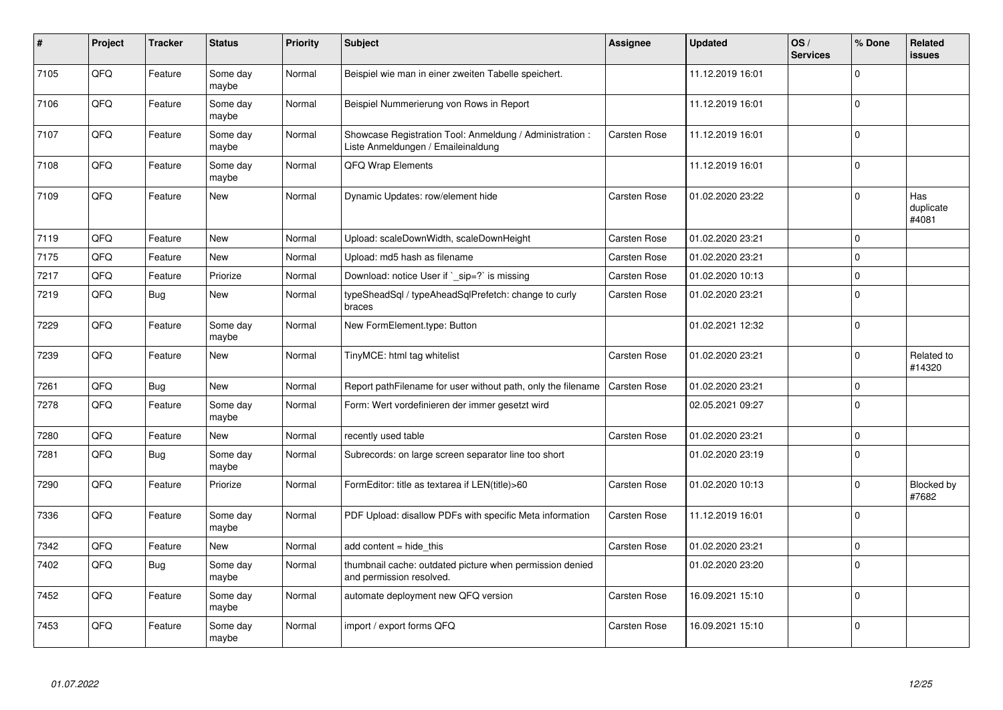| #    | Project | <b>Tracker</b> | <b>Status</b>     | <b>Priority</b> | <b>Subject</b>                                                                                 | <b>Assignee</b>     | <b>Updated</b>   | OS/<br><b>Services</b> | % Done   | Related<br>issues         |
|------|---------|----------------|-------------------|-----------------|------------------------------------------------------------------------------------------------|---------------------|------------------|------------------------|----------|---------------------------|
| 7105 | QFQ     | Feature        | Some day<br>maybe | Normal          | Beispiel wie man in einer zweiten Tabelle speichert.                                           |                     | 11.12.2019 16:01 |                        | $\Omega$ |                           |
| 7106 | QFQ     | Feature        | Some day<br>maybe | Normal          | Beispiel Nummerierung von Rows in Report                                                       |                     | 11.12.2019 16:01 |                        | $\Omega$ |                           |
| 7107 | QFQ     | Feature        | Some day<br>maybe | Normal          | Showcase Registration Tool: Anmeldung / Administration :<br>Liste Anmeldungen / Emaileinaldung | <b>Carsten Rose</b> | 11.12.2019 16:01 |                        | $\Omega$ |                           |
| 7108 | QFQ     | Feature        | Some day<br>maybe | Normal          | QFQ Wrap Elements                                                                              |                     | 11.12.2019 16:01 |                        | $\Omega$ |                           |
| 7109 | QFQ     | Feature        | <b>New</b>        | Normal          | Dynamic Updates: row/element hide                                                              | <b>Carsten Rose</b> | 01.02.2020 23:22 |                        | $\Omega$ | Has<br>duplicate<br>#4081 |
| 7119 | QFQ     | Feature        | New               | Normal          | Upload: scaleDownWidth, scaleDownHeight                                                        | Carsten Rose        | 01.02.2020 23:21 |                        | $\Omega$ |                           |
| 7175 | QFQ     | Feature        | New               | Normal          | Upload: md5 hash as filename                                                                   | Carsten Rose        | 01.02.2020 23:21 |                        | $\Omega$ |                           |
| 7217 | QFQ     | Feature        | Priorize          | Normal          | Download: notice User if `_sip=?` is missing                                                   | <b>Carsten Rose</b> | 01.02.2020 10:13 |                        | $\Omega$ |                           |
| 7219 | QFQ     | Bug            | <b>New</b>        | Normal          | typeSheadSql / typeAheadSqlPrefetch: change to curly<br>braces                                 | <b>Carsten Rose</b> | 01.02.2020 23:21 |                        | 0        |                           |
| 7229 | QFQ     | Feature        | Some day<br>maybe | Normal          | New FormElement.type: Button                                                                   |                     | 01.02.2021 12:32 |                        | $\Omega$ |                           |
| 7239 | QFQ     | Feature        | New               | Normal          | TinyMCE: html tag whitelist                                                                    | Carsten Rose        | 01.02.2020 23:21 |                        | $\Omega$ | Related to<br>#14320      |
| 7261 | QFQ     | Bug            | <b>New</b>        | Normal          | Report pathFilename for user without path, only the filename                                   | <b>Carsten Rose</b> | 01.02.2020 23:21 |                        | $\Omega$ |                           |
| 7278 | QFQ     | Feature        | Some day<br>maybe | Normal          | Form: Wert vordefinieren der immer gesetzt wird                                                |                     | 02.05.2021 09:27 |                        | $\Omega$ |                           |
| 7280 | QFQ     | Feature        | <b>New</b>        | Normal          | recently used table                                                                            | Carsten Rose        | 01.02.2020 23:21 |                        | 0        |                           |
| 7281 | QFQ     | Bug            | Some day<br>maybe | Normal          | Subrecords: on large screen separator line too short                                           |                     | 01.02.2020 23:19 |                        | $\Omega$ |                           |
| 7290 | QFQ     | Feature        | Priorize          | Normal          | FormEditor: title as textarea if LEN(title)>60                                                 | <b>Carsten Rose</b> | 01.02.2020 10:13 |                        | $\Omega$ | Blocked by<br>#7682       |
| 7336 | QFQ     | Feature        | Some day<br>maybe | Normal          | PDF Upload: disallow PDFs with specific Meta information                                       | <b>Carsten Rose</b> | 11.12.2019 16:01 |                        | $\Omega$ |                           |
| 7342 | QFQ     | Feature        | New               | Normal          | add content = hide this                                                                        | Carsten Rose        | 01.02.2020 23:21 |                        | 0        |                           |
| 7402 | QFQ     | Bug            | Some day<br>maybe | Normal          | thumbnail cache: outdated picture when permission denied<br>and permission resolved.           |                     | 01.02.2020 23:20 |                        | $\Omega$ |                           |
| 7452 | QFQ     | Feature        | Some day<br>maybe | Normal          | automate deployment new QFQ version                                                            | Carsten Rose        | 16.09.2021 15:10 |                        | $\Omega$ |                           |
| 7453 | QFQ     | Feature        | Some day<br>maybe | Normal          | import / export forms QFQ                                                                      | <b>Carsten Rose</b> | 16.09.2021 15:10 |                        | $\Omega$ |                           |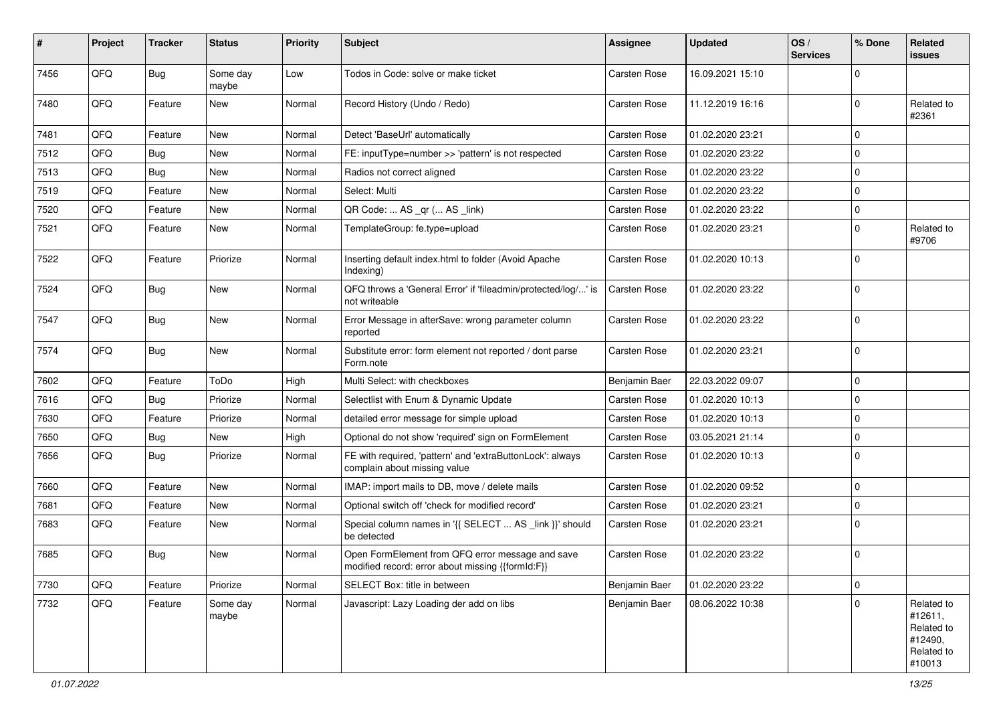| #    | Project | <b>Tracker</b> | <b>Status</b>     | <b>Priority</b> | Subject                                                                                               | <b>Assignee</b>     | <b>Updated</b>   | OS/<br><b>Services</b> | % Done      | Related<br>issues                                                      |
|------|---------|----------------|-------------------|-----------------|-------------------------------------------------------------------------------------------------------|---------------------|------------------|------------------------|-------------|------------------------------------------------------------------------|
| 7456 | QFQ     | Bug            | Some day<br>maybe | Low             | Todos in Code: solve or make ticket                                                                   | <b>Carsten Rose</b> | 16.09.2021 15:10 |                        | $\Omega$    |                                                                        |
| 7480 | QFQ     | Feature        | New               | Normal          | Record History (Undo / Redo)                                                                          | Carsten Rose        | 11.12.2019 16:16 |                        | $\Omega$    | Related to<br>#2361                                                    |
| 7481 | QFQ     | Feature        | <b>New</b>        | Normal          | Detect 'BaseUrl' automatically                                                                        | <b>Carsten Rose</b> | 01.02.2020 23:21 |                        | $\Omega$    |                                                                        |
| 7512 | QFQ     | Bug            | New               | Normal          | FE: inputType=number >> 'pattern' is not respected                                                    | <b>Carsten Rose</b> | 01.02.2020 23:22 |                        | $\Omega$    |                                                                        |
| 7513 | QFQ     | Bug            | New               | Normal          | Radios not correct aligned                                                                            | <b>Carsten Rose</b> | 01.02.2020 23:22 |                        | 0           |                                                                        |
| 7519 | QFQ     | Feature        | New               | Normal          | Select: Multi                                                                                         | <b>Carsten Rose</b> | 01.02.2020 23:22 |                        | $\Omega$    |                                                                        |
| 7520 | QFQ     | Feature        | <b>New</b>        | Normal          | QR Code:  AS _qr ( AS _link)                                                                          | <b>Carsten Rose</b> | 01.02.2020 23:22 |                        | 0           |                                                                        |
| 7521 | QFQ     | Feature        | <b>New</b>        | Normal          | TemplateGroup: fe.type=upload                                                                         | Carsten Rose        | 01.02.2020 23:21 |                        | $\Omega$    | Related to<br>#9706                                                    |
| 7522 | QFQ     | Feature        | Priorize          | Normal          | Inserting default index.html to folder (Avoid Apache<br>Indexing)                                     | Carsten Rose        | 01.02.2020 10:13 |                        | $\Omega$    |                                                                        |
| 7524 | QFQ     | Bug            | New               | Normal          | QFQ throws a 'General Error' if 'fileadmin/protected/log/' is<br>not writeable                        | <b>Carsten Rose</b> | 01.02.2020 23:22 |                        | $\Omega$    |                                                                        |
| 7547 | QFQ     | Bug            | New               | Normal          | Error Message in afterSave: wrong parameter column<br>reported                                        | Carsten Rose        | 01.02.2020 23:22 |                        | $\Omega$    |                                                                        |
| 7574 | QFQ     | Bug            | New               | Normal          | Substitute error: form element not reported / dont parse<br>Form.note                                 | <b>Carsten Rose</b> | 01.02.2020 23:21 |                        | $\Omega$    |                                                                        |
| 7602 | QFQ     | Feature        | ToDo              | High            | Multi Select: with checkboxes                                                                         | Benjamin Baer       | 22.03.2022 09:07 |                        | $\mathbf 0$ |                                                                        |
| 7616 | QFQ     | Bug            | Priorize          | Normal          | Selectlist with Enum & Dynamic Update                                                                 | <b>Carsten Rose</b> | 01.02.2020 10:13 |                        | 0           |                                                                        |
| 7630 | QFQ     | Feature        | Priorize          | Normal          | detailed error message for simple upload                                                              | Carsten Rose        | 01.02.2020 10:13 |                        | $\Omega$    |                                                                        |
| 7650 | QFQ     | Bug            | <b>New</b>        | High            | Optional do not show 'required' sign on FormElement                                                   | Carsten Rose        | 03.05.2021 21:14 |                        | 0           |                                                                        |
| 7656 | QFQ     | Bug            | Priorize          | Normal          | FE with required, 'pattern' and 'extraButtonLock': always<br>complain about missing value             | <b>Carsten Rose</b> | 01.02.2020 10:13 |                        | $\Omega$    |                                                                        |
| 7660 | QFQ     | Feature        | New               | Normal          | IMAP: import mails to DB, move / delete mails                                                         | Carsten Rose        | 01.02.2020 09:52 |                        | 0           |                                                                        |
| 7681 | QFQ     | Feature        | New               | Normal          | Optional switch off 'check for modified record'                                                       | Carsten Rose        | 01.02.2020 23:21 |                        | $\mathbf 0$ |                                                                        |
| 7683 | QFQ     | Feature        | New               | Normal          | Special column names in '{{ SELECT  AS _link }}' should<br>be detected                                | <b>Carsten Rose</b> | 01.02.2020 23:21 |                        | $\Omega$    |                                                                        |
| 7685 | QFQ     | Bug            | New               | Normal          | Open FormElement from QFQ error message and save<br>modified record: error about missing {{formId:F}} | Carsten Rose        | 01.02.2020 23:22 |                        | $\Omega$    |                                                                        |
| 7730 | QFQ     | Feature        | Priorize          | Normal          | SELECT Box: title in between                                                                          | Benjamin Baer       | 01.02.2020 23:22 |                        | $\mathbf 0$ |                                                                        |
| 7732 | QFQ     | Feature        | Some day<br>maybe | Normal          | Javascript: Lazy Loading der add on libs                                                              | Benjamin Baer       | 08.06.2022 10:38 |                        | $\Omega$    | Related to<br>#12611,<br>Related to<br>#12490,<br>Related to<br>#10013 |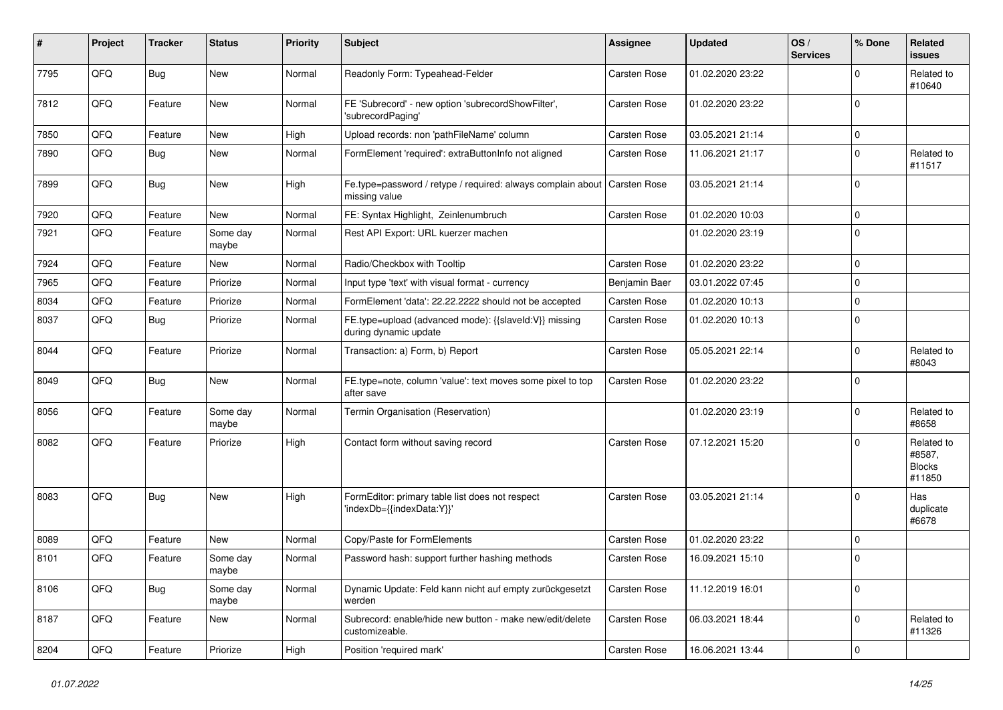| #    | Project | <b>Tracker</b> | <b>Status</b>     | <b>Priority</b> | Subject                                                                        | <b>Assignee</b>     | <b>Updated</b>   | OS/<br><b>Services</b> | % Done      | Related<br><b>issues</b>                        |
|------|---------|----------------|-------------------|-----------------|--------------------------------------------------------------------------------|---------------------|------------------|------------------------|-------------|-------------------------------------------------|
| 7795 | QFQ     | <b>Bug</b>     | <b>New</b>        | Normal          | Readonly Form: Typeahead-Felder                                                | <b>Carsten Rose</b> | 01.02.2020 23:22 |                        | $\Omega$    | Related to<br>#10640                            |
| 7812 | QFQ     | Feature        | New               | Normal          | FE 'Subrecord' - new option 'subrecordShowFilter',<br>'subrecordPaging'        | <b>Carsten Rose</b> | 01.02.2020 23:22 |                        | $\Omega$    |                                                 |
| 7850 | QFQ     | Feature        | New               | High            | Upload records: non 'pathFileName' column                                      | <b>Carsten Rose</b> | 03.05.2021 21:14 |                        | 0           |                                                 |
| 7890 | QFQ     | <b>Bug</b>     | New               | Normal          | FormElement 'required': extraButtonInfo not aligned                            | <b>Carsten Rose</b> | 11.06.2021 21:17 |                        | $\Omega$    | Related to<br>#11517                            |
| 7899 | QFQ     | <b>Bug</b>     | New               | High            | Fe.type=password / retype / required: always complain about<br>missing value   | Carsten Rose        | 03.05.2021 21:14 |                        | $\Omega$    |                                                 |
| 7920 | QFQ     | Feature        | New               | Normal          | FE: Syntax Highlight, Zeinlenumbruch                                           | Carsten Rose        | 01.02.2020 10:03 |                        | $\mathbf 0$ |                                                 |
| 7921 | QFQ     | Feature        | Some day<br>maybe | Normal          | Rest API Export: URL kuerzer machen                                            |                     | 01.02.2020 23:19 |                        | $\Omega$    |                                                 |
| 7924 | QFQ     | Feature        | New               | Normal          | Radio/Checkbox with Tooltip                                                    | <b>Carsten Rose</b> | 01.02.2020 23:22 |                        | $\mathbf 0$ |                                                 |
| 7965 | QFQ     | Feature        | Priorize          | Normal          | Input type 'text' with visual format - currency                                | Benjamin Baer       | 03.01.2022 07:45 |                        | $\Omega$    |                                                 |
| 8034 | QFQ     | Feature        | Priorize          | Normal          | FormElement 'data': 22.22.2222 should not be accepted                          | <b>Carsten Rose</b> | 01.02.2020 10:13 |                        | $\mathbf 0$ |                                                 |
| 8037 | QFQ     | Bug            | Priorize          | Normal          | FE.type=upload (advanced mode): {{slaveId:V}} missing<br>during dynamic update | Carsten Rose        | 01.02.2020 10:13 |                        | $\Omega$    |                                                 |
| 8044 | QFQ     | Feature        | Priorize          | Normal          | Transaction: a) Form, b) Report                                                | <b>Carsten Rose</b> | 05.05.2021 22:14 |                        | $\mathbf 0$ | Related to<br>#8043                             |
| 8049 | QFQ     | Bug            | New               | Normal          | FE.type=note, column 'value': text moves some pixel to top<br>after save       | <b>Carsten Rose</b> | 01.02.2020 23:22 |                        | $\Omega$    |                                                 |
| 8056 | QFQ     | Feature        | Some day<br>maybe | Normal          | Termin Organisation (Reservation)                                              |                     | 01.02.2020 23:19 |                        | $\Omega$    | Related to<br>#8658                             |
| 8082 | QFQ     | Feature        | Priorize          | High            | Contact form without saving record                                             | <b>Carsten Rose</b> | 07.12.2021 15:20 |                        | $\Omega$    | Related to<br>#8587,<br><b>Blocks</b><br>#11850 |
| 8083 | QFQ     | Bug            | New               | High            | FormEditor: primary table list does not respect<br>'indexDb={{indexData:Y}}'   | <b>Carsten Rose</b> | 03.05.2021 21:14 |                        | $\Omega$    | Has<br>duplicate<br>#6678                       |
| 8089 | QFQ     | Feature        | <b>New</b>        | Normal          | Copy/Paste for FormElements                                                    | <b>Carsten Rose</b> | 01.02.2020 23:22 |                        | $\mathbf 0$ |                                                 |
| 8101 | QFQ     | Feature        | Some day<br>maybe | Normal          | Password hash: support further hashing methods                                 | <b>Carsten Rose</b> | 16.09.2021 15:10 |                        | $\mathbf 0$ |                                                 |
| 8106 | QFQ     | Bug            | Some day<br>maybe | Normal          | Dynamic Update: Feld kann nicht auf empty zurückgesetzt<br>werden              | <b>Carsten Rose</b> | 11.12.2019 16:01 |                        | $\mathbf 0$ |                                                 |
| 8187 | QFQ     | Feature        | New               | Normal          | Subrecord: enable/hide new button - make new/edit/delete<br>customizeable.     | Carsten Rose        | 06.03.2021 18:44 |                        | $\Omega$    | Related to<br>#11326                            |
| 8204 | QFQ     | Feature        | Priorize          | High            | Position 'required mark'                                                       | Carsten Rose        | 16.06.2021 13:44 |                        | $\mathbf 0$ |                                                 |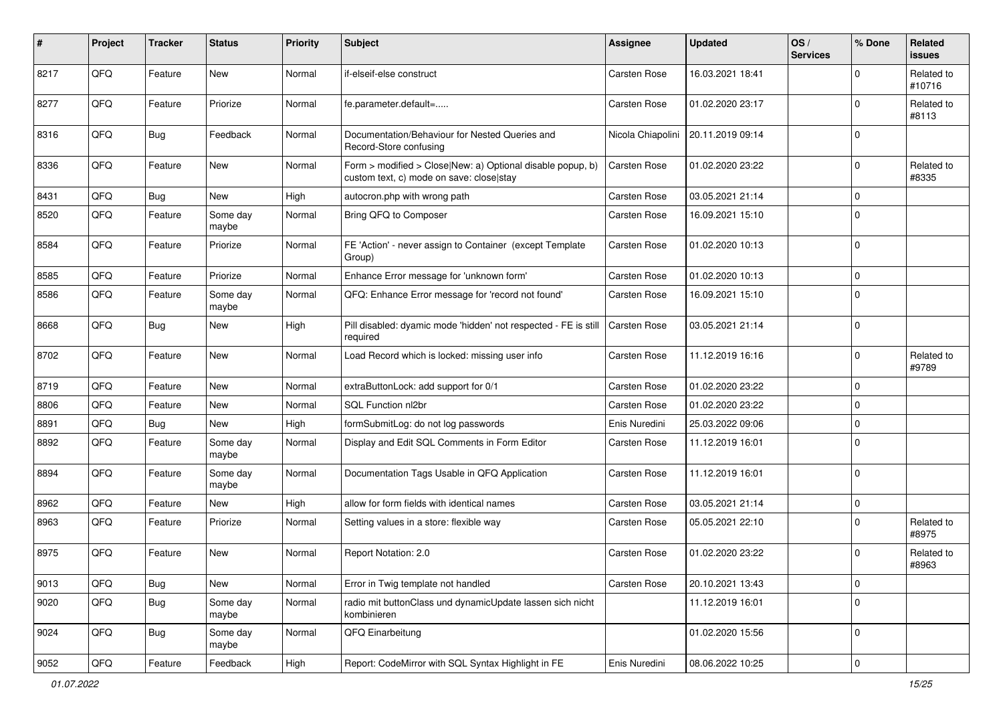| $\sharp$ | Project | <b>Tracker</b> | <b>Status</b>     | <b>Priority</b> | <b>Subject</b>                                                                                         | <b>Assignee</b>     | <b>Updated</b>   | OS/<br><b>Services</b> | % Done         | Related<br>issues    |
|----------|---------|----------------|-------------------|-----------------|--------------------------------------------------------------------------------------------------------|---------------------|------------------|------------------------|----------------|----------------------|
| 8217     | QFQ     | Feature        | <b>New</b>        | Normal          | if-elseif-else construct                                                                               | Carsten Rose        | 16.03.2021 18:41 |                        | $\Omega$       | Related to<br>#10716 |
| 8277     | QFQ     | Feature        | Priorize          | Normal          | fe.parameter.default=                                                                                  | <b>Carsten Rose</b> | 01.02.2020 23:17 |                        | 0              | Related to<br>#8113  |
| 8316     | QFQ     | Bug            | Feedback          | Normal          | Documentation/Behaviour for Nested Queries and<br>Record-Store confusing                               | Nicola Chiapolini   | 20.11.2019 09:14 |                        | 0              |                      |
| 8336     | QFQ     | Feature        | <b>New</b>        | Normal          | Form > modified > Close New: a) Optional disable popup, b)<br>custom text, c) mode on save: close stay | <b>Carsten Rose</b> | 01.02.2020 23:22 |                        | 0              | Related to<br>#8335  |
| 8431     | QFQ     | <b>Bug</b>     | New               | High            | autocron.php with wrong path                                                                           | <b>Carsten Rose</b> | 03.05.2021 21:14 |                        | $\mathbf 0$    |                      |
| 8520     | QFQ     | Feature        | Some day<br>maybe | Normal          | Bring QFQ to Composer                                                                                  | Carsten Rose        | 16.09.2021 15:10 |                        | $\Omega$       |                      |
| 8584     | QFQ     | Feature        | Priorize          | Normal          | FE 'Action' - never assign to Container (except Template<br>Group)                                     | <b>Carsten Rose</b> | 01.02.2020 10:13 |                        | $\mathbf 0$    |                      |
| 8585     | QFQ     | Feature        | Priorize          | Normal          | Enhance Error message for 'unknown form'                                                               | Carsten Rose        | 01.02.2020 10:13 |                        | 0              |                      |
| 8586     | QFQ     | Feature        | Some day<br>maybe | Normal          | QFQ: Enhance Error message for 'record not found'                                                      | <b>Carsten Rose</b> | 16.09.2021 15:10 |                        | $\Omega$       |                      |
| 8668     | QFQ     | Bug            | <b>New</b>        | High            | Pill disabled: dyamic mode 'hidden' not respected - FE is still<br>required                            | <b>Carsten Rose</b> | 03.05.2021 21:14 |                        | $\Omega$       |                      |
| 8702     | QFQ     | Feature        | <b>New</b>        | Normal          | Load Record which is locked: missing user info                                                         | Carsten Rose        | 11.12.2019 16:16 |                        | $\Omega$       | Related to<br>#9789  |
| 8719     | QFQ     | Feature        | <b>New</b>        | Normal          | extraButtonLock: add support for 0/1                                                                   | Carsten Rose        | 01.02.2020 23:22 |                        | $\Omega$       |                      |
| 8806     | QFQ     | Feature        | <b>New</b>        | Normal          | SQL Function nl2br                                                                                     | Carsten Rose        | 01.02.2020 23:22 |                        | 0              |                      |
| 8891     | QFQ     | Bug            | New               | High            | formSubmitLog: do not log passwords                                                                    | Enis Nuredini       | 25.03.2022 09:06 |                        | $\Omega$       |                      |
| 8892     | QFQ     | Feature        | Some day<br>maybe | Normal          | Display and Edit SQL Comments in Form Editor                                                           | <b>Carsten Rose</b> | 11.12.2019 16:01 |                        | $\Omega$       |                      |
| 8894     | QFQ     | Feature        | Some day<br>maybe | Normal          | Documentation Tags Usable in QFQ Application                                                           | <b>Carsten Rose</b> | 11.12.2019 16:01 |                        | $\mathbf 0$    |                      |
| 8962     | QFQ     | Feature        | <b>New</b>        | High            | allow for form fields with identical names                                                             | <b>Carsten Rose</b> | 03.05.2021 21:14 |                        | $\mathbf 0$    |                      |
| 8963     | QFQ     | Feature        | Priorize          | Normal          | Setting values in a store: flexible way                                                                | <b>Carsten Rose</b> | 05.05.2021 22:10 |                        | 0              | Related to<br>#8975  |
| 8975     | QFQ     | Feature        | <b>New</b>        | Normal          | Report Notation: 2.0                                                                                   | Carsten Rose        | 01.02.2020 23:22 |                        | $\Omega$       | Related to<br>#8963  |
| 9013     | QFQ     | <b>Bug</b>     | New               | Normal          | Error in Twig template not handled                                                                     | Carsten Rose        | 20.10.2021 13:43 |                        | 0              |                      |
| 9020     | QFQ     | <b>Bug</b>     | Some day<br>maybe | Normal          | radio mit buttonClass und dynamicUpdate lassen sich nicht<br>kombinieren                               |                     | 11.12.2019 16:01 |                        | $\mathbf 0$    |                      |
| 9024     | QFQ     | <b>Bug</b>     | Some day<br>maybe | Normal          | QFQ Einarbeitung                                                                                       |                     | 01.02.2020 15:56 |                        | 0              |                      |
| 9052     | QFG     | Feature        | Feedback          | High            | Report: CodeMirror with SQL Syntax Highlight in FE                                                     | Enis Nuredini       | 08.06.2022 10:25 |                        | $\overline{0}$ |                      |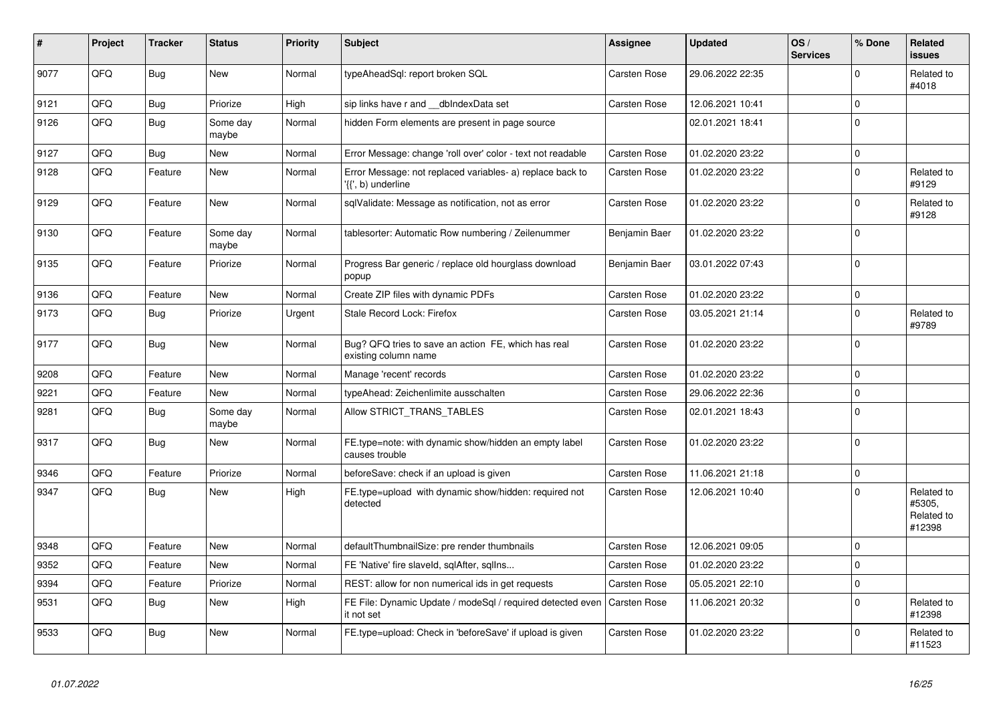| #    | Project | <b>Tracker</b> | <b>Status</b>     | <b>Priority</b> | <b>Subject</b>                                                                  | Assignee            | <b>Updated</b>   | OS/<br><b>Services</b> | % Done      | Related<br><b>issues</b>                     |
|------|---------|----------------|-------------------|-----------------|---------------------------------------------------------------------------------|---------------------|------------------|------------------------|-------------|----------------------------------------------|
| 9077 | QFQ     | <b>Bug</b>     | <b>New</b>        | Normal          | typeAheadSgl: report broken SQL                                                 | <b>Carsten Rose</b> | 29.06.2022 22:35 |                        | $\Omega$    | Related to<br>#4018                          |
| 9121 | QFQ     | <b>Bug</b>     | Priorize          | High            | sip links have r and __dbIndexData set                                          | <b>Carsten Rose</b> | 12.06.2021 10:41 |                        | $\mathbf 0$ |                                              |
| 9126 | QFQ     | <b>Bug</b>     | Some day<br>maybe | Normal          | hidden Form elements are present in page source                                 |                     | 02.01.2021 18:41 |                        | $\Omega$    |                                              |
| 9127 | QFQ     | <b>Bug</b>     | <b>New</b>        | Normal          | Error Message: change 'roll over' color - text not readable                     | <b>Carsten Rose</b> | 01.02.2020 23:22 |                        | $\mathbf 0$ |                                              |
| 9128 | QFQ     | Feature        | New               | Normal          | Error Message: not replaced variables- a) replace back to<br>'{{', b) underline | <b>Carsten Rose</b> | 01.02.2020 23:22 |                        | $\Omega$    | Related to<br>#9129                          |
| 9129 | QFQ     | Feature        | <b>New</b>        | Normal          | sqlValidate: Message as notification, not as error                              | <b>Carsten Rose</b> | 01.02.2020 23:22 |                        | $\Omega$    | Related to<br>#9128                          |
| 9130 | QFQ     | Feature        | Some day<br>maybe | Normal          | tablesorter: Automatic Row numbering / Zeilenummer                              | Benjamin Baer       | 01.02.2020 23:22 |                        | $\Omega$    |                                              |
| 9135 | QFQ     | Feature        | Priorize          | Normal          | Progress Bar generic / replace old hourglass download<br>popup                  | Benjamin Baer       | 03.01.2022 07:43 |                        | $\Omega$    |                                              |
| 9136 | QFQ     | Feature        | <b>New</b>        | Normal          | Create ZIP files with dynamic PDFs                                              | <b>Carsten Rose</b> | 01.02.2020 23:22 |                        | $\mathbf 0$ |                                              |
| 9173 | QFQ     | <b>Bug</b>     | Priorize          | Urgent          | Stale Record Lock: Firefox                                                      | <b>Carsten Rose</b> | 03.05.2021 21:14 |                        | $\Omega$    | Related to<br>#9789                          |
| 9177 | QFQ     | Bug            | <b>New</b>        | Normal          | Bug? QFQ tries to save an action FE, which has real<br>existing column name     | <b>Carsten Rose</b> | 01.02.2020 23:22 |                        | $\Omega$    |                                              |
| 9208 | QFQ     | Feature        | <b>New</b>        | Normal          | Manage 'recent' records                                                         | Carsten Rose        | 01.02.2020 23:22 |                        | $\Omega$    |                                              |
| 9221 | QFQ     | Feature        | New               | Normal          | typeAhead: Zeichenlimite ausschalten                                            | <b>Carsten Rose</b> | 29.06.2022 22:36 |                        | $\Omega$    |                                              |
| 9281 | QFQ     | Bug            | Some day<br>maybe | Normal          | Allow STRICT TRANS TABLES                                                       | Carsten Rose        | 02.01.2021 18:43 |                        | $\mathbf 0$ |                                              |
| 9317 | QFQ     | Bug            | <b>New</b>        | Normal          | FE.type=note: with dynamic show/hidden an empty label<br>causes trouble         | <b>Carsten Rose</b> | 01.02.2020 23:22 |                        | $\Omega$    |                                              |
| 9346 | QFQ     | Feature        | Priorize          | Normal          | beforeSave: check if an upload is given                                         | <b>Carsten Rose</b> | 11.06.2021 21:18 |                        | $\Omega$    |                                              |
| 9347 | QFQ     | <b>Bug</b>     | <b>New</b>        | High            | FE.type=upload with dynamic show/hidden: required not<br>detected               | Carsten Rose        | 12.06.2021 10:40 |                        | $\Omega$    | Related to<br>#5305,<br>Related to<br>#12398 |
| 9348 | QFQ     | Feature        | <b>New</b>        | Normal          | defaultThumbnailSize: pre render thumbnails                                     | <b>Carsten Rose</b> | 12.06.2021 09:05 |                        | $\Omega$    |                                              |
| 9352 | QFQ     | Feature        | <b>New</b>        | Normal          | FE 'Native' fire slaveld, sqlAfter, sqllns                                      | Carsten Rose        | 01.02.2020 23:22 |                        | $\mathbf 0$ |                                              |
| 9394 | QFQ     | Feature        | Priorize          | Normal          | REST: allow for non numerical ids in get requests                               | <b>Carsten Rose</b> | 05.05.2021 22:10 |                        | $\Omega$    |                                              |
| 9531 | QFQ     | Bug            | <b>New</b>        | High            | FE File: Dynamic Update / modeSql / required detected even<br>it not set        | <b>Carsten Rose</b> | 11.06.2021 20:32 |                        | $\Omega$    | Related to<br>#12398                         |
| 9533 | QFQ     | <b>Bug</b>     | New               | Normal          | FE.type=upload: Check in 'beforeSave' if upload is given                        | Carsten Rose        | 01.02.2020 23:22 |                        | $\Omega$    | Related to<br>#11523                         |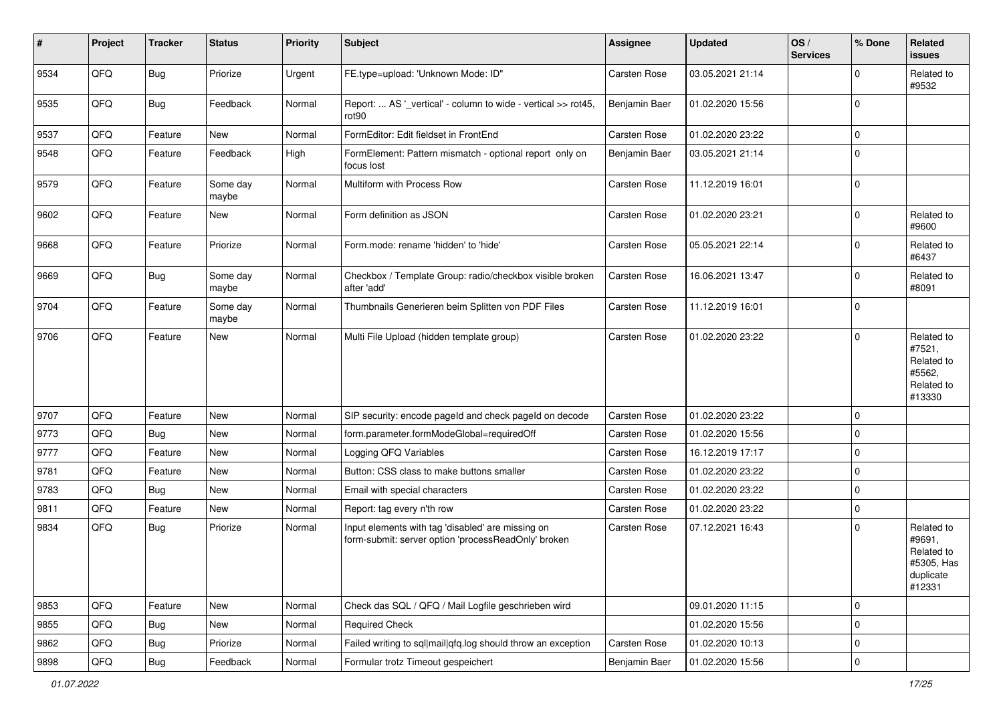| #    | Project | <b>Tracker</b> | <b>Status</b>     | <b>Priority</b> | Subject                                                                                                  | <b>Assignee</b>     | <b>Updated</b>   | OS/<br><b>Services</b> | % Done      | Related<br>issues                                                       |
|------|---------|----------------|-------------------|-----------------|----------------------------------------------------------------------------------------------------------|---------------------|------------------|------------------------|-------------|-------------------------------------------------------------------------|
| 9534 | QFQ     | Bug            | Priorize          | Urgent          | FE.type=upload: 'Unknown Mode: ID"                                                                       | Carsten Rose        | 03.05.2021 21:14 |                        | 0           | Related to<br>#9532                                                     |
| 9535 | QFQ     | Bug            | Feedback          | Normal          | Report:  AS '_vertical' - column to wide - vertical >> rot45,<br>rot <sub>90</sub>                       | Benjamin Baer       | 01.02.2020 15:56 |                        | $\Omega$    |                                                                         |
| 9537 | QFQ     | Feature        | <b>New</b>        | Normal          | FormEditor: Edit fieldset in FrontEnd                                                                    | <b>Carsten Rose</b> | 01.02.2020 23:22 |                        | 0           |                                                                         |
| 9548 | QFQ     | Feature        | Feedback          | High            | FormElement: Pattern mismatch - optional report only on<br>focus lost                                    | Benjamin Baer       | 03.05.2021 21:14 |                        | $\Omega$    |                                                                         |
| 9579 | QFQ     | Feature        | Some day<br>maybe | Normal          | Multiform with Process Row                                                                               | Carsten Rose        | 11.12.2019 16:01 |                        | $\Omega$    |                                                                         |
| 9602 | QFQ     | Feature        | <b>New</b>        | Normal          | Form definition as JSON                                                                                  | Carsten Rose        | 01.02.2020 23:21 |                        | $\Omega$    | Related to<br>#9600                                                     |
| 9668 | QFQ     | Feature        | Priorize          | Normal          | Form.mode: rename 'hidden' to 'hide'                                                                     | <b>Carsten Rose</b> | 05.05.2021 22:14 |                        | 0           | Related to<br>#6437                                                     |
| 9669 | QFQ     | Bug            | Some day<br>maybe | Normal          | Checkbox / Template Group: radio/checkbox visible broken<br>after 'add'                                  | <b>Carsten Rose</b> | 16.06.2021 13:47 |                        | $\Omega$    | Related to<br>#8091                                                     |
| 9704 | QFQ     | Feature        | Some dav<br>maybe | Normal          | Thumbnails Generieren beim Splitten von PDF Files                                                        | Carsten Rose        | 11.12.2019 16:01 |                        | $\Omega$    |                                                                         |
| 9706 | QFQ     | Feature        | <b>New</b>        | Normal          | Multi File Upload (hidden template group)                                                                | <b>Carsten Rose</b> | 01.02.2020 23:22 |                        | $\Omega$    | Related to<br>#7521,<br>Related to<br>#5562,<br>Related to<br>#13330    |
| 9707 | QFQ     | Feature        | <b>New</b>        | Normal          | SIP security: encode pageld and check pageld on decode                                                   | <b>Carsten Rose</b> | 01.02.2020 23:22 |                        | $\Omega$    |                                                                         |
| 9773 | QFQ     | Bug            | <b>New</b>        | Normal          | form.parameter.formModeGlobal=requiredOff                                                                | Carsten Rose        | 01.02.2020 15:56 |                        | $\Omega$    |                                                                         |
| 9777 | QFQ     | Feature        | <b>New</b>        | Normal          | Logging QFQ Variables                                                                                    | <b>Carsten Rose</b> | 16.12.2019 17:17 |                        | $\Omega$    |                                                                         |
| 9781 | QFQ     | Feature        | <b>New</b>        | Normal          | Button: CSS class to make buttons smaller                                                                | Carsten Rose        | 01.02.2020 23:22 |                        | $\Omega$    |                                                                         |
| 9783 | QFQ     | Bug            | <b>New</b>        | Normal          | Email with special characters                                                                            | <b>Carsten Rose</b> | 01.02.2020 23:22 |                        | $\mathbf 0$ |                                                                         |
| 9811 | QFQ     | Feature        | <b>New</b>        | Normal          | Report: tag every n'th row                                                                               | <b>Carsten Rose</b> | 01.02.2020 23:22 |                        | $\mathbf 0$ |                                                                         |
| 9834 | QFQ     | Bug            | Priorize          | Normal          | Input elements with tag 'disabled' are missing on<br>form-submit: server option 'processReadOnly' broken | <b>Carsten Rose</b> | 07.12.2021 16:43 |                        | $\Omega$    | Related to<br>#9691,<br>Related to<br>#5305, Has<br>duplicate<br>#12331 |
| 9853 | QFQ     | Feature        | New               | Normal          | Check das SQL / QFQ / Mail Logfile geschrieben wird                                                      |                     | 09.01.2020 11:15 |                        | $\mathbf 0$ |                                                                         |
| 9855 | QFQ     | Bug            | New               | Normal          | <b>Required Check</b>                                                                                    |                     | 01.02.2020 15:56 |                        | $\mathbf 0$ |                                                                         |
| 9862 | QFQ     | <b>Bug</b>     | Priorize          | Normal          | Failed writing to sql mail qfq.log should throw an exception                                             | Carsten Rose        | 01.02.2020 10:13 |                        | 0           |                                                                         |
| 9898 | QFQ     | Bug            | Feedback          | Normal          | Formular trotz Timeout gespeichert                                                                       | Benjamin Baer       | 01.02.2020 15:56 |                        | $\mathbf 0$ |                                                                         |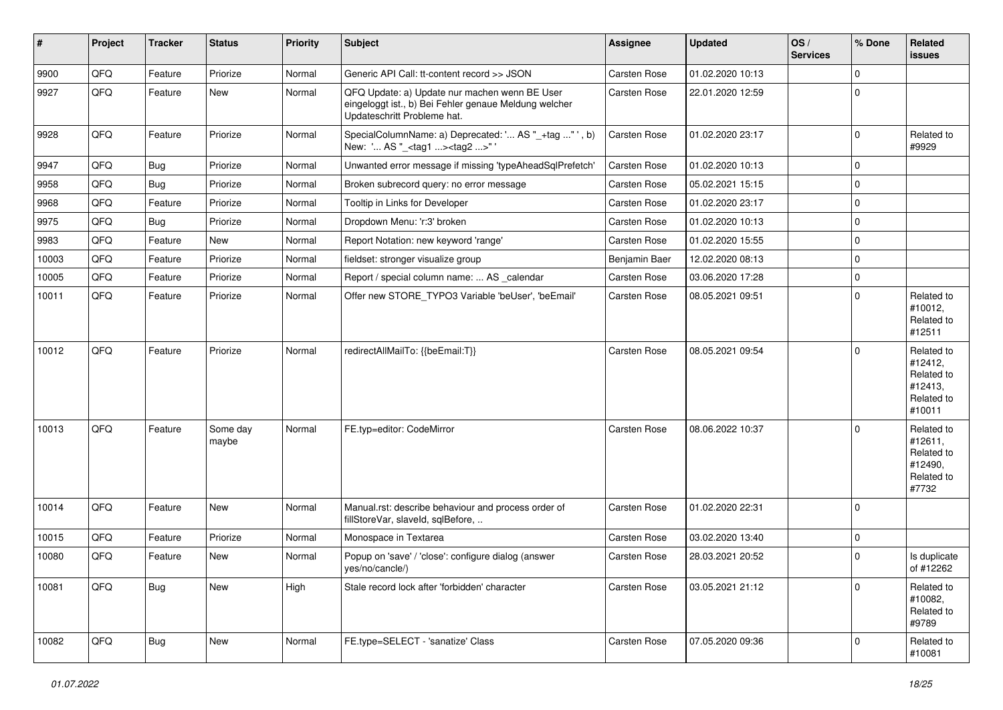| #     | Project | <b>Tracker</b> | <b>Status</b>     | <b>Priority</b> | Subject                                                                                                                               | Assignee            | <b>Updated</b>   | OS/<br><b>Services</b> | % Done      | Related<br>issues                                                      |
|-------|---------|----------------|-------------------|-----------------|---------------------------------------------------------------------------------------------------------------------------------------|---------------------|------------------|------------------------|-------------|------------------------------------------------------------------------|
| 9900  | QFQ     | Feature        | Priorize          | Normal          | Generic API Call: tt-content record >> JSON                                                                                           | Carsten Rose        | 01.02.2020 10:13 |                        | $\mathbf 0$ |                                                                        |
| 9927  | QFQ     | Feature        | New               | Normal          | QFQ Update: a) Update nur machen wenn BE User<br>eingeloggt ist., b) Bei Fehler genaue Meldung welcher<br>Updateschritt Probleme hat. | <b>Carsten Rose</b> | 22.01.2020 12:59 |                        | $\mathbf 0$ |                                                                        |
| 9928  | QFQ     | Feature        | Priorize          | Normal          | SpecialColumnName: a) Deprecated: ' AS "_+tag " ', b)<br>New: ' AS "_ <tag1><tag2>"</tag2></tag1>                                     | <b>Carsten Rose</b> | 01.02.2020 23:17 |                        | $\mathbf 0$ | Related to<br>#9929                                                    |
| 9947  | QFQ     | Bug            | Priorize          | Normal          | Unwanted error message if missing 'typeAheadSqlPrefetch'                                                                              | Carsten Rose        | 01.02.2020 10:13 |                        | $\mathbf 0$ |                                                                        |
| 9958  | QFQ     | Bug            | Priorize          | Normal          | Broken subrecord query: no error message                                                                                              | Carsten Rose        | 05.02.2021 15:15 |                        | $\mathbf 0$ |                                                                        |
| 9968  | QFQ     | Feature        | Priorize          | Normal          | Tooltip in Links for Developer                                                                                                        | <b>Carsten Rose</b> | 01.02.2020 23:17 |                        | $\mathbf 0$ |                                                                        |
| 9975  | QFQ     | Bug            | Priorize          | Normal          | Dropdown Menu: 'r:3' broken                                                                                                           | Carsten Rose        | 01.02.2020 10:13 |                        | $\mathbf 0$ |                                                                        |
| 9983  | QFQ     | Feature        | New               | Normal          | Report Notation: new keyword 'range'                                                                                                  | Carsten Rose        | 01.02.2020 15:55 |                        | $\mathbf 0$ |                                                                        |
| 10003 | QFQ     | Feature        | Priorize          | Normal          | fieldset: stronger visualize group                                                                                                    | Benjamin Baer       | 12.02.2020 08:13 |                        | $\mathbf 0$ |                                                                        |
| 10005 | QFQ     | Feature        | Priorize          | Normal          | Report / special column name:  AS calendar                                                                                            | Carsten Rose        | 03.06.2020 17:28 |                        | $\mathbf 0$ |                                                                        |
| 10011 | QFQ     | Feature        | Priorize          | Normal          | Offer new STORE_TYPO3 Variable 'beUser', 'beEmail'                                                                                    | Carsten Rose        | 08.05.2021 09:51 |                        | $\mathbf 0$ | Related to<br>#10012,<br>Related to<br>#12511                          |
| 10012 | QFQ     | Feature        | Priorize          | Normal          | redirectAllMailTo: {{beEmail:T}}                                                                                                      | <b>Carsten Rose</b> | 08.05.2021 09:54 |                        | 0           | Related to<br>#12412,<br>Related to<br>#12413,<br>Related to<br>#10011 |
| 10013 | QFQ     | Feature        | Some day<br>maybe | Normal          | FE.typ=editor: CodeMirror                                                                                                             | Carsten Rose        | 08.06.2022 10:37 |                        | $\Omega$    | Related to<br>#12611,<br>Related to<br>#12490,<br>Related to<br>#7732  |
| 10014 | QFQ     | Feature        | New               | Normal          | Manual.rst: describe behaviour and process order of<br>fillStoreVar, slaveId, sqlBefore,                                              | Carsten Rose        | 01.02.2020 22:31 |                        | 0           |                                                                        |
| 10015 | QFQ     | Feature        | Priorize          | Normal          | Monospace in Textarea                                                                                                                 | Carsten Rose        | 03.02.2020 13:40 |                        | $\mathbf 0$ |                                                                        |
| 10080 | QFQ     | Feature        | New               | Normal          | Popup on 'save' / 'close': configure dialog (answer<br>yes/no/cancle/)                                                                | Carsten Rose        | 28.03.2021 20:52 |                        | $\mathbf 0$ | Is duplicate<br>of #12262                                              |
| 10081 | QFQ     | Bug            | New               | High            | Stale record lock after 'forbidden' character                                                                                         | Carsten Rose        | 03.05.2021 21:12 |                        | $\Omega$    | Related to<br>#10082,<br>Related to<br>#9789                           |
| 10082 | QFQ     | Bug            | New               | Normal          | FE.type=SELECT - 'sanatize' Class                                                                                                     | Carsten Rose        | 07.05.2020 09:36 |                        | $\Omega$    | Related to<br>#10081                                                   |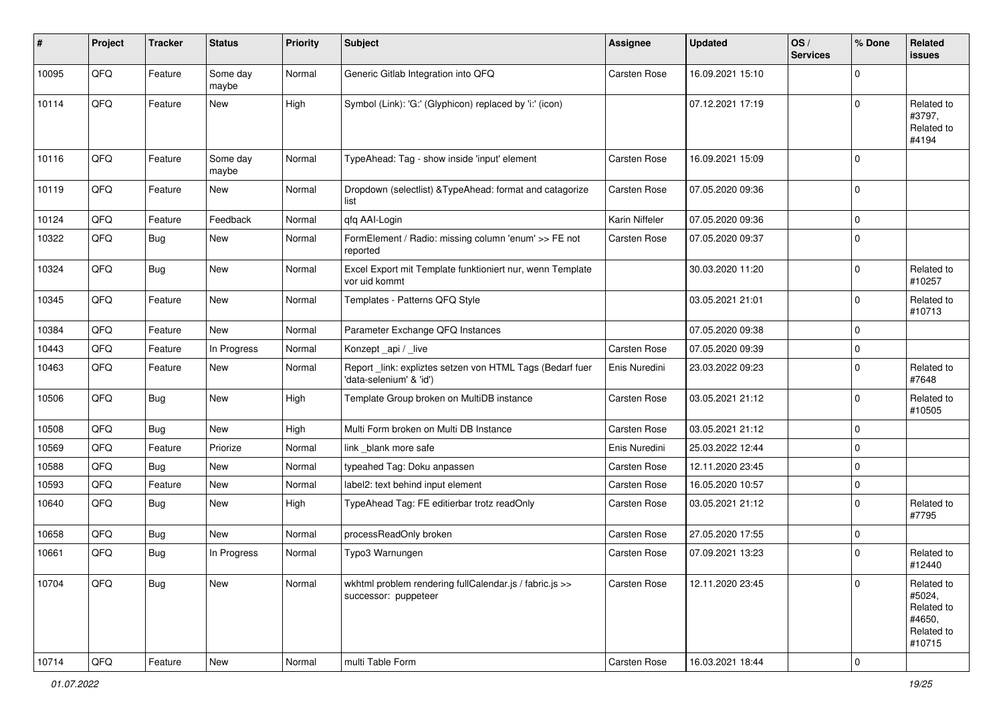| #     | Project        | <b>Tracker</b> | <b>Status</b>     | <b>Priority</b> | Subject                                                                             | <b>Assignee</b>     | <b>Updated</b>   | OS/<br><b>Services</b> | % Done      | Related<br>issues                                                    |
|-------|----------------|----------------|-------------------|-----------------|-------------------------------------------------------------------------------------|---------------------|------------------|------------------------|-------------|----------------------------------------------------------------------|
| 10095 | QFQ            | Feature        | Some day<br>maybe | Normal          | Generic Gitlab Integration into QFQ                                                 | <b>Carsten Rose</b> | 16.09.2021 15:10 |                        | $\Omega$    |                                                                      |
| 10114 | QFQ            | Feature        | New               | High            | Symbol (Link): 'G:' (Glyphicon) replaced by 'i:' (icon)                             |                     | 07.12.2021 17:19 |                        | $\Omega$    | Related to<br>#3797,<br>Related to<br>#4194                          |
| 10116 | QFQ            | Feature        | Some day<br>maybe | Normal          | TypeAhead: Tag - show inside 'input' element                                        | <b>Carsten Rose</b> | 16.09.2021 15:09 |                        | $\Omega$    |                                                                      |
| 10119 | QFQ            | Feature        | New               | Normal          | Dropdown (selectlist) & TypeAhead: format and catagorize<br>list                    | Carsten Rose        | 07.05.2020 09:36 |                        | 0           |                                                                      |
| 10124 | QFQ            | Feature        | Feedback          | Normal          | qfq AAI-Login                                                                       | Karin Niffeler      | 07.05.2020 09:36 |                        | 0           |                                                                      |
| 10322 | QFQ            | Bug            | New               | Normal          | FormElement / Radio: missing column 'enum' >> FE not<br>reported                    | <b>Carsten Rose</b> | 07.05.2020 09:37 |                        | $\Omega$    |                                                                      |
| 10324 | QFQ            | Bug            | New               | Normal          | Excel Export mit Template funktioniert nur, wenn Template<br>vor uid kommt          |                     | 30.03.2020 11:20 |                        | $\Omega$    | Related to<br>#10257                                                 |
| 10345 | QFQ            | Feature        | New               | Normal          | Templates - Patterns QFQ Style                                                      |                     | 03.05.2021 21:01 |                        | $\mathbf 0$ | Related to<br>#10713                                                 |
| 10384 | QFQ            | Feature        | <b>New</b>        | Normal          | Parameter Exchange QFQ Instances                                                    |                     | 07.05.2020 09:38 |                        | $\Omega$    |                                                                      |
| 10443 | QFQ            | Feature        | In Progress       | Normal          | Konzept api / live                                                                  | <b>Carsten Rose</b> | 07.05.2020 09:39 |                        | $\mathbf 0$ |                                                                      |
| 10463 | QFQ            | Feature        | New               | Normal          | Report_link: expliztes setzen von HTML Tags (Bedarf fuer<br>'data-selenium' & 'id') | Enis Nuredini       | 23.03.2022 09:23 |                        | $\Omega$    | Related to<br>#7648                                                  |
| 10506 | QFQ            | Bug            | <b>New</b>        | High            | Template Group broken on MultiDB instance                                           | Carsten Rose        | 03.05.2021 21:12 |                        | $\Omega$    | Related to<br>#10505                                                 |
| 10508 | QFQ            | Bug            | New               | High            | Multi Form broken on Multi DB Instance                                              | <b>Carsten Rose</b> | 03.05.2021 21:12 |                        | $\mathbf 0$ |                                                                      |
| 10569 | QFQ            | Feature        | Priorize          | Normal          | link blank more safe                                                                | Enis Nuredini       | 25.03.2022 12:44 |                        | $\mathbf 0$ |                                                                      |
| 10588 | QFQ            | Bug            | New               | Normal          | typeahed Tag: Doku anpassen                                                         | Carsten Rose        | 12.11.2020 23:45 |                        | $\Omega$    |                                                                      |
| 10593 | QFQ            | Feature        | New               | Normal          | label2: text behind input element                                                   | <b>Carsten Rose</b> | 16.05.2020 10:57 |                        | $\mathbf 0$ |                                                                      |
| 10640 | QFQ            | <b>Bug</b>     | <b>New</b>        | High            | TypeAhead Tag: FE editierbar trotz readOnly                                         | <b>Carsten Rose</b> | 03.05.2021 21:12 |                        | $\mathbf 0$ | Related to<br>#7795                                                  |
| 10658 | QFQ            | <b>Bug</b>     | New               | Normal          | processReadOnly broken                                                              | <b>Carsten Rose</b> | 27.05.2020 17:55 |                        | $\mathbf 0$ |                                                                      |
| 10661 | QFQ            | <b>Bug</b>     | In Progress       | Normal          | Typo3 Warnungen                                                                     | <b>Carsten Rose</b> | 07.09.2021 13:23 |                        | $\Omega$    | Related to<br>#12440                                                 |
| 10704 | QFQ            | <b>Bug</b>     | New               | Normal          | wkhtml problem rendering fullCalendar.js / fabric.js >><br>successor: puppeteer     | Carsten Rose        | 12.11.2020 23:45 |                        | $\Omega$    | Related to<br>#5024,<br>Related to<br>#4650,<br>Related to<br>#10715 |
| 10714 | $\mathsf{QFQ}$ | Feature        | New               | Normal          | multi Table Form                                                                    | Carsten Rose        | 16.03.2021 18:44 |                        | $\mathbf 0$ |                                                                      |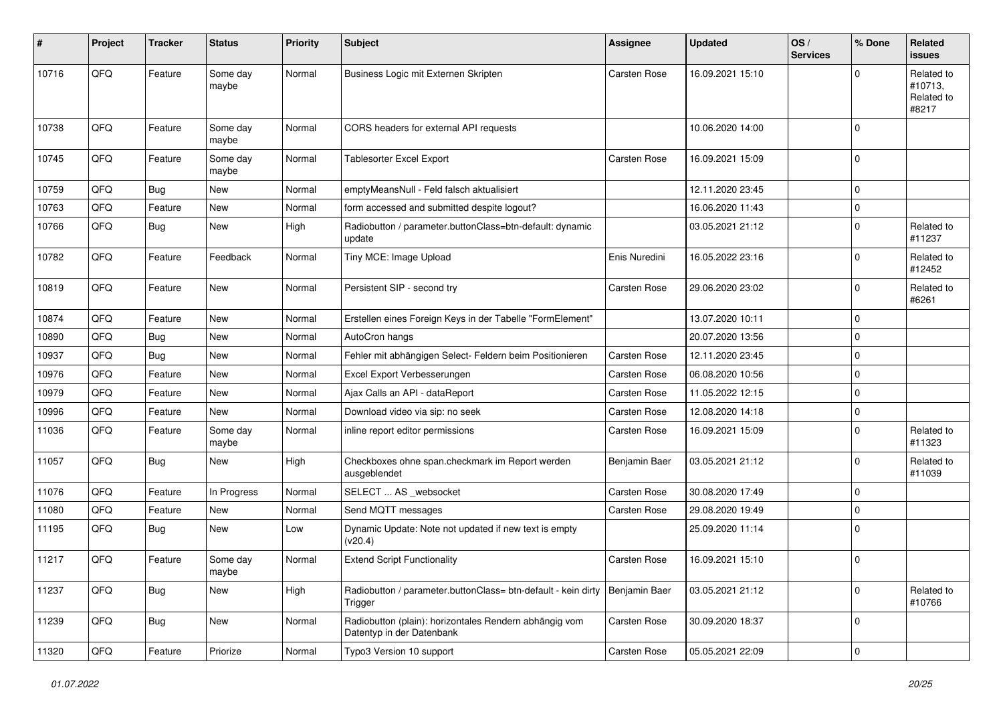| #     | Project | <b>Tracker</b> | <b>Status</b>     | <b>Priority</b> | <b>Subject</b>                                                                      | <b>Assignee</b>     | <b>Updated</b>   | OS/<br><b>Services</b> | % Done      | Related<br><b>issues</b>                     |
|-------|---------|----------------|-------------------|-----------------|-------------------------------------------------------------------------------------|---------------------|------------------|------------------------|-------------|----------------------------------------------|
| 10716 | QFQ     | Feature        | Some day<br>maybe | Normal          | Business Logic mit Externen Skripten                                                | Carsten Rose        | 16.09.2021 15:10 |                        | O           | Related to<br>#10713,<br>Related to<br>#8217 |
| 10738 | QFQ     | Feature        | Some day<br>maybe | Normal          | CORS headers for external API requests                                              |                     | 10.06.2020 14:00 |                        | $\Omega$    |                                              |
| 10745 | QFQ     | Feature        | Some day<br>maybe | Normal          | <b>Tablesorter Excel Export</b>                                                     | <b>Carsten Rose</b> | 16.09.2021 15:09 |                        | $\Omega$    |                                              |
| 10759 | QFQ     | Bug            | <b>New</b>        | Normal          | emptyMeansNull - Feld falsch aktualisiert                                           |                     | 12.11.2020 23:45 |                        | $\mathbf 0$ |                                              |
| 10763 | QFQ     | Feature        | <b>New</b>        | Normal          | form accessed and submitted despite logout?                                         |                     | 16.06.2020 11:43 |                        | 0           |                                              |
| 10766 | QFQ     | Bug            | New               | High            | Radiobutton / parameter.buttonClass=btn-default: dynamic<br>update                  |                     | 03.05.2021 21:12 |                        | $\Omega$    | Related to<br>#11237                         |
| 10782 | QFQ     | Feature        | Feedback          | Normal          | Tiny MCE: Image Upload                                                              | Enis Nuredini       | 16.05.2022 23:16 |                        | $\Omega$    | Related to<br>#12452                         |
| 10819 | QFQ     | Feature        | <b>New</b>        | Normal          | Persistent SIP - second try                                                         | <b>Carsten Rose</b> | 29.06.2020 23:02 |                        | $\Omega$    | Related to<br>#6261                          |
| 10874 | QFQ     | Feature        | New               | Normal          | Erstellen eines Foreign Keys in der Tabelle "FormElement"                           |                     | 13.07.2020 10:11 |                        | $\Omega$    |                                              |
| 10890 | QFQ     | Bug            | <b>New</b>        | Normal          | AutoCron hangs                                                                      |                     | 20.07.2020 13:56 |                        | $\mathbf 0$ |                                              |
| 10937 | QFQ     | Bug            | New               | Normal          | Fehler mit abhängigen Select- Feldern beim Positionieren                            | <b>Carsten Rose</b> | 12.11.2020 23:45 |                        | $\Omega$    |                                              |
| 10976 | QFQ     | Feature        | <b>New</b>        | Normal          | Excel Export Verbesserungen                                                         | <b>Carsten Rose</b> | 06.08.2020 10:56 |                        | $\Omega$    |                                              |
| 10979 | QFQ     | Feature        | <b>New</b>        | Normal          | Ajax Calls an API - dataReport                                                      | <b>Carsten Rose</b> | 11.05.2022 12:15 |                        | $\mathbf 0$ |                                              |
| 10996 | QFQ     | Feature        | New               | Normal          | Download video via sip: no seek                                                     | Carsten Rose        | 12.08.2020 14:18 |                        | $\Omega$    |                                              |
| 11036 | QFQ     | Feature        | Some day<br>maybe | Normal          | inline report editor permissions                                                    | <b>Carsten Rose</b> | 16.09.2021 15:09 |                        | $\Omega$    | Related to<br>#11323                         |
| 11057 | QFQ     | Bug            | <b>New</b>        | High            | Checkboxes ohne span.checkmark im Report werden<br>ausgeblendet                     | Benjamin Baer       | 03.05.2021 21:12 |                        | 0           | Related to<br>#11039                         |
| 11076 | QFQ     | Feature        | In Progress       | Normal          | SELECT  AS _websocket                                                               | Carsten Rose        | 30.08.2020 17:49 |                        | $\Omega$    |                                              |
| 11080 | QFQ     | Feature        | New               | Normal          | Send MQTT messages                                                                  | <b>Carsten Rose</b> | 29.08.2020 19:49 |                        | $\Omega$    |                                              |
| 11195 | QFQ     | Bug            | <b>New</b>        | Low             | Dynamic Update: Note not updated if new text is empty<br>(v20.4)                    |                     | 25.09.2020 11:14 |                        | $\Omega$    |                                              |
| 11217 | QFQ     | Feature        | Some day<br>maybe | Normal          | <b>Extend Script Functionality</b>                                                  | <b>Carsten Rose</b> | 16.09.2021 15:10 |                        | 0           |                                              |
| 11237 | QFQ     | <b>Bug</b>     | New               | High            | Radiobutton / parameter.buttonClass= btn-default - kein dirty<br>Trigger            | Benjamin Baer       | 03.05.2021 21:12 |                        | $\mathbf 0$ | Related to<br>#10766                         |
| 11239 | QFQ     | <b>Bug</b>     | New               | Normal          | Radiobutton (plain): horizontales Rendern abhängig vom<br>Datentyp in der Datenbank | Carsten Rose        | 30.09.2020 18:37 |                        | $\mathbf 0$ |                                              |
| 11320 | QFQ     | Feature        | Priorize          | Normal          | Typo3 Version 10 support                                                            | Carsten Rose        | 05.05.2021 22:09 |                        | $\mathbf 0$ |                                              |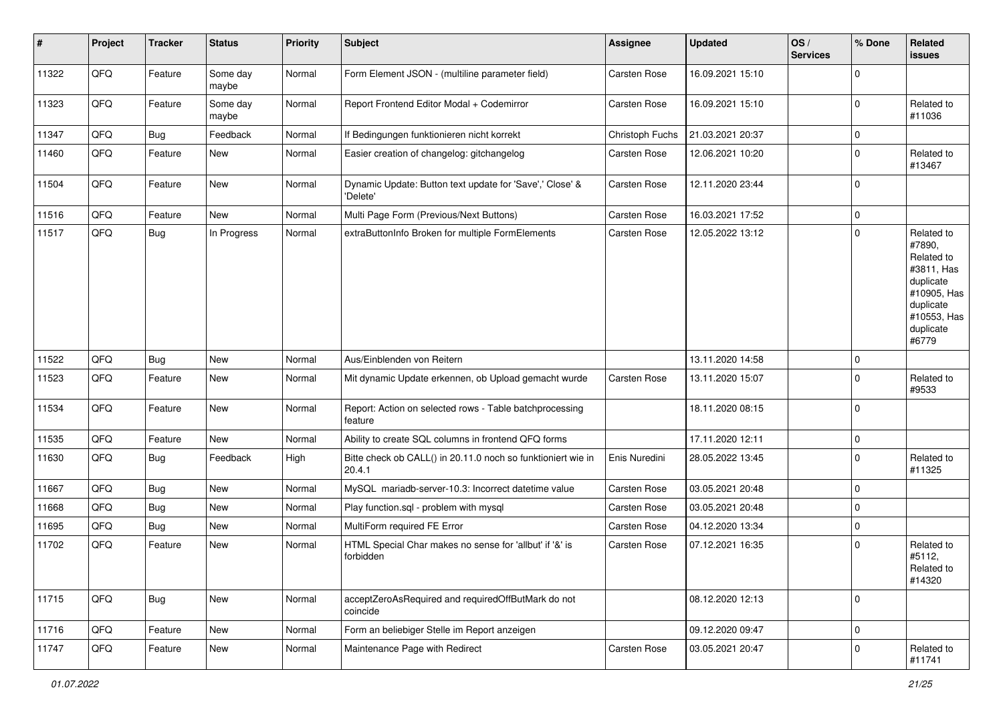| #     | Project | <b>Tracker</b> | <b>Status</b>     | <b>Priority</b> | <b>Subject</b>                                                         | <b>Assignee</b>     | <b>Updated</b>   | OS/<br><b>Services</b> | % Done         | Related<br>issues                                                                                                              |
|-------|---------|----------------|-------------------|-----------------|------------------------------------------------------------------------|---------------------|------------------|------------------------|----------------|--------------------------------------------------------------------------------------------------------------------------------|
| 11322 | QFQ     | Feature        | Some day<br>maybe | Normal          | Form Element JSON - (multiline parameter field)                        | Carsten Rose        | 16.09.2021 15:10 |                        | $\overline{0}$ |                                                                                                                                |
| 11323 | QFQ     | Feature        | Some day<br>maybe | Normal          | Report Frontend Editor Modal + Codemirror                              | <b>Carsten Rose</b> | 16.09.2021 15:10 |                        | $\Omega$       | Related to<br>#11036                                                                                                           |
| 11347 | QFQ     | Bug            | Feedback          | Normal          | If Bedingungen funktionieren nicht korrekt                             | Christoph Fuchs     | 21.03.2021 20:37 |                        | 0              |                                                                                                                                |
| 11460 | QFQ     | Feature        | New               | Normal          | Easier creation of changelog: gitchangelog                             | Carsten Rose        | 12.06.2021 10:20 |                        | $\mathbf 0$    | Related to<br>#13467                                                                                                           |
| 11504 | QFQ     | Feature        | <b>New</b>        | Normal          | Dynamic Update: Button text update for 'Save',' Close' &<br>'Delete'   | Carsten Rose        | 12.11.2020 23:44 |                        | $\Omega$       |                                                                                                                                |
| 11516 | QFQ     | Feature        | <b>New</b>        | Normal          | Multi Page Form (Previous/Next Buttons)                                | Carsten Rose        | 16.03.2021 17:52 |                        | 0              |                                                                                                                                |
| 11517 | QFQ     | Bug            | In Progress       | Normal          | extraButtonInfo Broken for multiple FormElements                       | <b>Carsten Rose</b> | 12.05.2022 13:12 |                        | $\mathbf 0$    | Related to<br>#7890,<br>Related to<br>#3811, Has<br>duplicate<br>#10905, Has<br>duplicate<br>#10553, Has<br>duplicate<br>#6779 |
| 11522 | QFQ     | Bug            | <b>New</b>        | Normal          | Aus/Einblenden von Reitern                                             |                     | 13.11.2020 14:58 |                        | $\mathbf 0$    |                                                                                                                                |
| 11523 | QFQ     | Feature        | <b>New</b>        | Normal          | Mit dynamic Update erkennen, ob Upload gemacht wurde                   | <b>Carsten Rose</b> | 13.11.2020 15:07 |                        | $\Omega$       | Related to<br>#9533                                                                                                            |
| 11534 | QFQ     | Feature        | New               | Normal          | Report: Action on selected rows - Table batchprocessing<br>feature     |                     | 18.11.2020 08:15 |                        | $\Omega$       |                                                                                                                                |
| 11535 | QFQ     | Feature        | <b>New</b>        | Normal          | Ability to create SQL columns in frontend QFQ forms                    |                     | 17.11.2020 12:11 |                        | $\mathbf 0$    |                                                                                                                                |
| 11630 | QFQ     | Bug            | Feedback          | High            | Bitte check ob CALL() in 20.11.0 noch so funktioniert wie in<br>20.4.1 | Enis Nuredini       | 28.05.2022 13:45 |                        | $\Omega$       | Related to<br>#11325                                                                                                           |
| 11667 | QFQ     | Bug            | <b>New</b>        | Normal          | MySQL mariadb-server-10.3: Incorrect datetime value                    | <b>Carsten Rose</b> | 03.05.2021 20:48 |                        | $\Omega$       |                                                                                                                                |
| 11668 | QFQ     | Bug            | New               | Normal          | Play function.sql - problem with mysql                                 | <b>Carsten Rose</b> | 03.05.2021 20:48 |                        | $\mathbf 0$    |                                                                                                                                |
| 11695 | QFQ     | <b>Bug</b>     | <b>New</b>        | Normal          | MultiForm required FE Error                                            | Carsten Rose        | 04.12.2020 13:34 |                        | $\Omega$       |                                                                                                                                |
| 11702 | QFQ     | Feature        | New               | Normal          | HTML Special Char makes no sense for 'allbut' if '&' is<br>forbidden   | <b>Carsten Rose</b> | 07.12.2021 16:35 |                        | $\Omega$       | Related to<br>#5112,<br>Related to<br>#14320                                                                                   |
| 11715 | QFG     | <b>Bug</b>     | New               | Normal          | acceptZeroAsRequired and requiredOffButMark do not<br>coincide         |                     | 08.12.2020 12:13 |                        | $\mathbf 0$    |                                                                                                                                |
| 11716 | QFQ     | Feature        | New               | Normal          | Form an beliebiger Stelle im Report anzeigen                           |                     | 09.12.2020 09:47 |                        | 0              |                                                                                                                                |
| 11747 | QFQ     | Feature        | New               | Normal          | Maintenance Page with Redirect                                         | Carsten Rose        | 03.05.2021 20:47 |                        | $\mathbf 0$    | Related to<br>#11741                                                                                                           |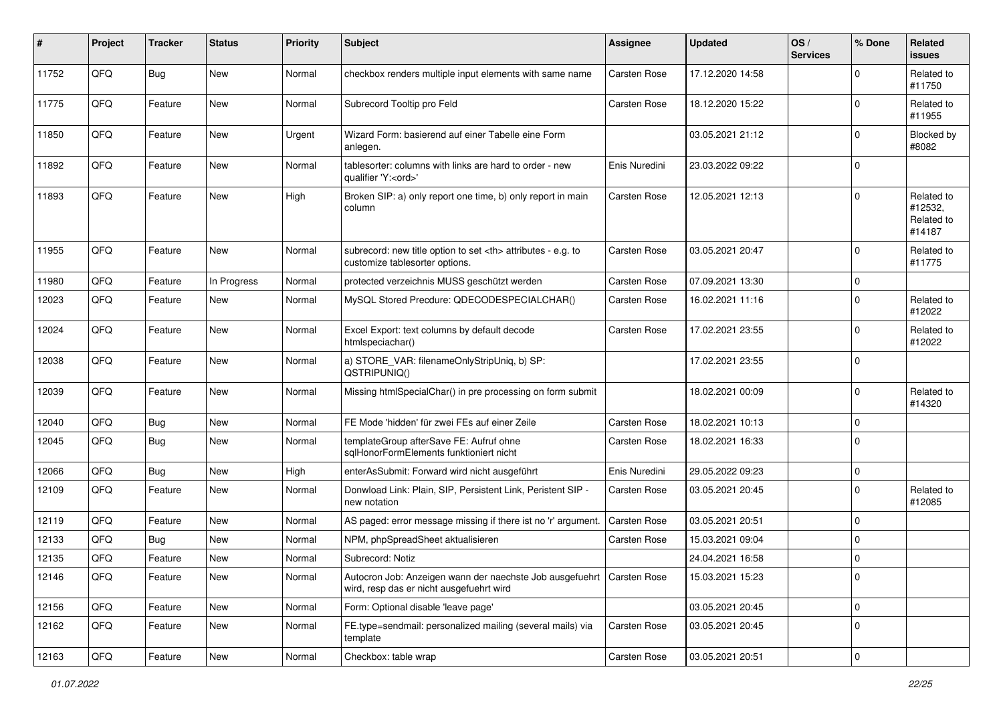| #     | Project | <b>Tracker</b> | <b>Status</b> | <b>Priority</b> | <b>Subject</b>                                                                                                      | <b>Assignee</b>                                        | <b>Updated</b>      | OS/<br><b>Services</b> | % Done      | Related<br><b>issues</b>                      |                      |
|-------|---------|----------------|---------------|-----------------|---------------------------------------------------------------------------------------------------------------------|--------------------------------------------------------|---------------------|------------------------|-------------|-----------------------------------------------|----------------------|
| 11752 | QFQ     | Bug            | New           | Normal          | checkbox renders multiple input elements with same name                                                             | <b>Carsten Rose</b>                                    | 17.12.2020 14:58    |                        | $\Omega$    | Related to<br>#11750                          |                      |
| 11775 | QFQ     | Feature        | <b>New</b>    | Normal          | Subrecord Tooltip pro Feld                                                                                          | <b>Carsten Rose</b>                                    | 18.12.2020 15:22    |                        | $\Omega$    | Related to<br>#11955                          |                      |
| 11850 | QFQ     | Feature        | <b>New</b>    | Urgent          | Wizard Form: basierend auf einer Tabelle eine Form<br>anlegen.                                                      |                                                        | 03.05.2021 21:12    |                        | $\Omega$    | Blocked by<br>#8082                           |                      |
| 11892 | QFQ     | Feature        | New           | Normal          | tablesorter: columns with links are hard to order - new<br>qualifier 'Y: <ord>'</ord>                               | Enis Nuredini                                          | 23.03.2022 09:22    |                        | $\mathbf 0$ |                                               |                      |
| 11893 | QFQ     | Feature        | New           | High            | Broken SIP: a) only report one time, b) only report in main<br>column                                               | <b>Carsten Rose</b>                                    | 12.05.2021 12:13    |                        | $\Omega$    | Related to<br>#12532,<br>Related to<br>#14187 |                      |
| 11955 | QFQ     | Feature        | <b>New</b>    | Normal          | subrecord: new title option to set <th> attributes - e.g. to<br/>customize tablesorter options.</th>                | attributes - e.g. to<br>customize tablesorter options. | <b>Carsten Rose</b> | 03.05.2021 20:47       |             | $\mathbf 0$                                   | Related to<br>#11775 |
| 11980 | QFQ     | Feature        | In Progress   | Normal          | protected verzeichnis MUSS geschützt werden                                                                         | <b>Carsten Rose</b>                                    | 07.09.2021 13:30    |                        | $\mathbf 0$ |                                               |                      |
| 12023 | QFQ     | Feature        | New           | Normal          | MySQL Stored Precdure: QDECODESPECIALCHAR()                                                                         | <b>Carsten Rose</b>                                    | 16.02.2021 11:16    |                        | $\Omega$    | Related to<br>#12022                          |                      |
| 12024 | QFQ     | Feature        | New           | Normal          | Excel Export: text columns by default decode<br>htmlspeciachar()                                                    | <b>Carsten Rose</b>                                    | 17.02.2021 23:55    |                        | $\Omega$    | Related to<br>#12022                          |                      |
| 12038 | QFQ     | Feature        | New           | Normal          | a) STORE_VAR: filenameOnlyStripUniq, b) SP:<br>QSTRIPUNIQ()                                                         |                                                        | 17.02.2021 23:55    |                        | 0           |                                               |                      |
| 12039 | QFQ     | Feature        | <b>New</b>    | Normal          | Missing htmlSpecialChar() in pre processing on form submit                                                          |                                                        | 18.02.2021 00:09    |                        | $\Omega$    | Related to<br>#14320                          |                      |
| 12040 | QFQ     | Bug            | New           | Normal          | FE Mode 'hidden' für zwei FEs auf einer Zeile                                                                       | <b>Carsten Rose</b>                                    | 18.02.2021 10:13    |                        | $\mathbf 0$ |                                               |                      |
| 12045 | QFQ     | Bug            | New           | Normal          | templateGroup afterSave FE: Aufruf ohne<br>sglHonorFormElements funktioniert nicht                                  | Carsten Rose                                           | 18.02.2021 16:33    |                        | $\mathbf 0$ |                                               |                      |
| 12066 | QFQ     | Bug            | New           | High            | enterAsSubmit: Forward wird nicht ausgeführt                                                                        | Enis Nuredini                                          | 29.05.2022 09:23    |                        | $\mathbf 0$ |                                               |                      |
| 12109 | QFQ     | Feature        | <b>New</b>    | Normal          | Donwload Link: Plain, SIP, Persistent Link, Peristent SIP -<br>new notation                                         | Carsten Rose                                           | 03.05.2021 20:45    |                        | $\mathbf 0$ | Related to<br>#12085                          |                      |
| 12119 | QFQ     | Feature        | <b>New</b>    | Normal          | AS paged: error message missing if there ist no 'r' argument.                                                       | Carsten Rose                                           | 03.05.2021 20:51    |                        | $\Omega$    |                                               |                      |
| 12133 | QFQ     | Bug            | <b>New</b>    | Normal          | NPM, phpSpreadSheet aktualisieren                                                                                   | <b>Carsten Rose</b>                                    | 15.03.2021 09:04    |                        | $\mathbf 0$ |                                               |                      |
| 12135 | QFQ     | Feature        | New           | Normal          | Subrecord: Notiz                                                                                                    |                                                        | 24.04.2021 16:58    |                        | $\mathbf 0$ |                                               |                      |
| 12146 | QFQ     | Feature        | New           | Normal          | Autocron Job: Anzeigen wann der naechste Job ausgefuehrt   Carsten Rose<br>wird, resp das er nicht ausgefuehrt wird |                                                        | 15.03.2021 15:23    |                        | 0           |                                               |                      |
| 12156 | QFQ     | Feature        | New           | Normal          | Form: Optional disable 'leave page'                                                                                 |                                                        | 03.05.2021 20:45    |                        | $\mathbf 0$ |                                               |                      |
| 12162 | QFQ     | Feature        | New           | Normal          | FE.type=sendmail: personalized mailing (several mails) via<br>template                                              | Carsten Rose                                           | 03.05.2021 20:45    |                        | 0           |                                               |                      |
| 12163 | QFQ     | Feature        | New           | Normal          | Checkbox: table wrap                                                                                                | Carsten Rose                                           | 03.05.2021 20:51    |                        | $\mathbf 0$ |                                               |                      |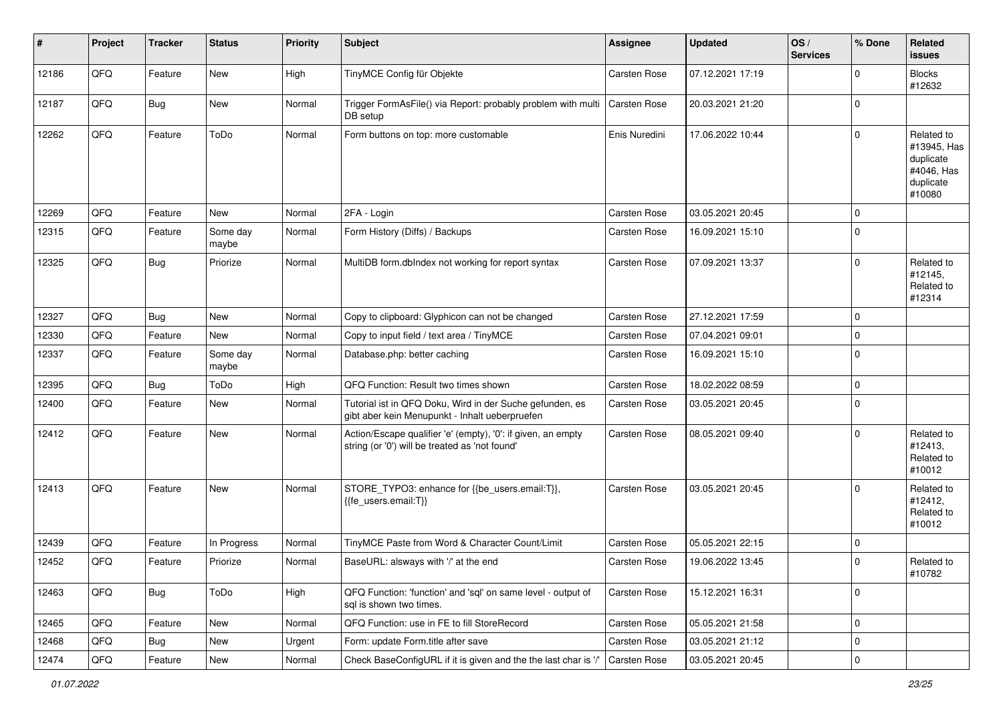| $\sharp$ | Project | <b>Tracker</b> | <b>Status</b>     | <b>Priority</b> | <b>Subject</b>                                                                                                 | <b>Assignee</b>     | <b>Updated</b>   | OS/<br><b>Services</b> | % Done      | Related<br><b>issues</b>                                                    |
|----------|---------|----------------|-------------------|-----------------|----------------------------------------------------------------------------------------------------------------|---------------------|------------------|------------------------|-------------|-----------------------------------------------------------------------------|
| 12186    | QFQ     | Feature        | New               | High            | TinyMCE Config für Objekte                                                                                     | Carsten Rose        | 07.12.2021 17:19 |                        | $\Omega$    | <b>Blocks</b><br>#12632                                                     |
| 12187    | QFQ     | Bug            | New               | Normal          | Trigger FormAsFile() via Report: probably problem with multi<br>DB setup                                       | <b>Carsten Rose</b> | 20.03.2021 21:20 |                        | 0           |                                                                             |
| 12262    | QFQ     | Feature        | ToDo              | Normal          | Form buttons on top: more customable                                                                           | Enis Nuredini       | 17.06.2022 10:44 |                        | $\Omega$    | Related to<br>#13945, Has<br>duplicate<br>#4046, Has<br>duplicate<br>#10080 |
| 12269    | QFQ     | Feature        | New               | Normal          | 2FA - Login                                                                                                    | Carsten Rose        | 03.05.2021 20:45 |                        | $\Omega$    |                                                                             |
| 12315    | QFQ     | Feature        | Some day<br>maybe | Normal          | Form History (Diffs) / Backups                                                                                 | <b>Carsten Rose</b> | 16.09.2021 15:10 |                        | $\mathbf 0$ |                                                                             |
| 12325    | QFQ     | Bug            | Priorize          | Normal          | MultiDB form.dblndex not working for report syntax                                                             | <b>Carsten Rose</b> | 07.09.2021 13:37 |                        | $\Omega$    | Related to<br>#12145,<br>Related to<br>#12314                               |
| 12327    | QFQ     | Bug            | <b>New</b>        | Normal          | Copy to clipboard: Glyphicon can not be changed                                                                | <b>Carsten Rose</b> | 27.12.2021 17:59 |                        | $\mathbf 0$ |                                                                             |
| 12330    | QFQ     | Feature        | New               | Normal          | Copy to input field / text area / TinyMCE                                                                      | <b>Carsten Rose</b> | 07.04.2021 09:01 |                        | $\mathbf 0$ |                                                                             |
| 12337    | QFQ     | Feature        | Some day<br>maybe | Normal          | Database.php: better caching                                                                                   | <b>Carsten Rose</b> | 16.09.2021 15:10 |                        | $\Omega$    |                                                                             |
| 12395    | QFQ     | Bug            | ToDo              | High            | QFQ Function: Result two times shown                                                                           | <b>Carsten Rose</b> | 18.02.2022 08:59 |                        | $\Omega$    |                                                                             |
| 12400    | QFQ     | Feature        | <b>New</b>        | Normal          | Tutorial ist in QFQ Doku, Wird in der Suche gefunden, es<br>gibt aber kein Menupunkt - Inhalt ueberpruefen     | <b>Carsten Rose</b> | 03.05.2021 20:45 |                        | 0           |                                                                             |
| 12412    | QFQ     | Feature        | New               | Normal          | Action/Escape qualifier 'e' (empty), '0': if given, an empty<br>string (or '0') will be treated as 'not found' | <b>Carsten Rose</b> | 08.05.2021 09:40 |                        | $\Omega$    | Related to<br>#12413,<br>Related to<br>#10012                               |
| 12413    | QFQ     | Feature        | New               | Normal          | STORE_TYPO3: enhance for {{be_users.email:T}},<br>{{fe users.email:T}}                                         | <b>Carsten Rose</b> | 03.05.2021 20:45 |                        | $\Omega$    | Related to<br>#12412,<br>Related to<br>#10012                               |
| 12439    | QFQ     | Feature        | In Progress       | Normal          | TinyMCE Paste from Word & Character Count/Limit                                                                | <b>Carsten Rose</b> | 05.05.2021 22:15 |                        | $\mathbf 0$ |                                                                             |
| 12452    | QFQ     | Feature        | Priorize          | Normal          | BaseURL: alsways with '/' at the end                                                                           | Carsten Rose        | 19.06.2022 13:45 |                        | $\Omega$    | Related to<br>#10782                                                        |
| 12463    | QFQ     | <b>Bug</b>     | ToDo              | High            | QFQ Function: 'function' and 'sql' on same level - output of<br>sql is shown two times.                        | Carsten Rose        | 15.12.2021 16:31 |                        | $\mathbf 0$ |                                                                             |
| 12465    | QFQ     | Feature        | New               | Normal          | QFQ Function: use in FE to fill StoreRecord                                                                    | Carsten Rose        | 05.05.2021 21:58 |                        | $\mathbf 0$ |                                                                             |
| 12468    | QFQ     | <b>Bug</b>     | New               | Urgent          | Form: update Form.title after save                                                                             | Carsten Rose        | 03.05.2021 21:12 |                        | $\mathbf 0$ |                                                                             |
| 12474    | QFQ     | Feature        | New               | Normal          | Check BaseConfigURL if it is given and the the last char is '/'                                                | Carsten Rose        | 03.05.2021 20:45 |                        | $\mathbf 0$ |                                                                             |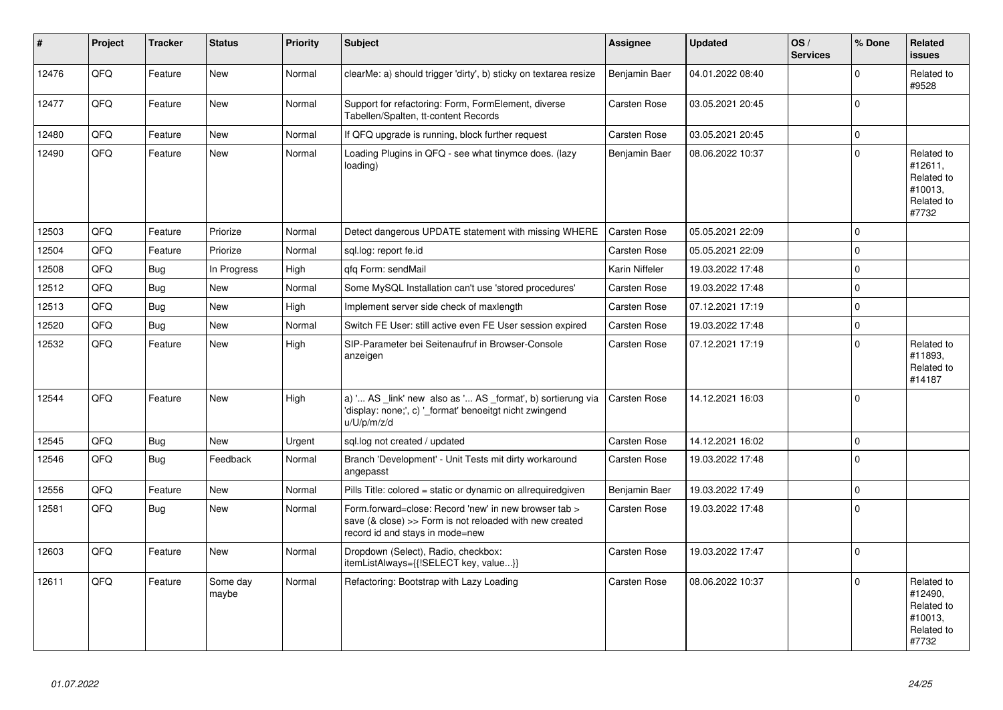| #     | Project | <b>Tracker</b> | <b>Status</b>     | <b>Priority</b> | <b>Subject</b>                                                                                                                                      | Assignee            | <b>Updated</b>   | OS/<br><b>Services</b> | % Done      | Related<br><b>issues</b>                                              |
|-------|---------|----------------|-------------------|-----------------|-----------------------------------------------------------------------------------------------------------------------------------------------------|---------------------|------------------|------------------------|-------------|-----------------------------------------------------------------------|
| 12476 | QFQ     | Feature        | New               | Normal          | clearMe: a) should trigger 'dirty', b) sticky on textarea resize                                                                                    | Benjamin Baer       | 04.01.2022 08:40 |                        | $\Omega$    | Related to<br>#9528                                                   |
| 12477 | QFQ     | Feature        | <b>New</b>        | Normal          | Support for refactoring: Form, FormElement, diverse<br>Tabellen/Spalten, tt-content Records                                                         | <b>Carsten Rose</b> | 03.05.2021 20:45 |                        | $\Omega$    |                                                                       |
| 12480 | QFQ     | Feature        | New               | Normal          | If QFQ upgrade is running, block further request                                                                                                    | <b>Carsten Rose</b> | 03.05.2021 20:45 |                        | $\mathbf 0$ |                                                                       |
| 12490 | QFQ     | Feature        | <b>New</b>        | Normal          | Loading Plugins in QFQ - see what tinymce does. (lazy<br>loading)                                                                                   | Benjamin Baer       | 08.06.2022 10:37 |                        | $\Omega$    | Related to<br>#12611,<br>Related to<br>#10013,<br>Related to<br>#7732 |
| 12503 | QFQ     | Feature        | Priorize          | Normal          | Detect dangerous UPDATE statement with missing WHERE                                                                                                | <b>Carsten Rose</b> | 05.05.2021 22:09 |                        | $\Omega$    |                                                                       |
| 12504 | QFQ     | Feature        | Priorize          | Normal          | sql.log: report fe.id                                                                                                                               | Carsten Rose        | 05.05.2021 22:09 |                        | $\mathbf 0$ |                                                                       |
| 12508 | QFQ     | <b>Bug</b>     | In Progress       | High            | gfg Form: sendMail                                                                                                                                  | Karin Niffeler      | 19.03.2022 17:48 |                        | $\Omega$    |                                                                       |
| 12512 | QFQ     | <b>Bug</b>     | <b>New</b>        | Normal          | Some MySQL Installation can't use 'stored procedures'                                                                                               | Carsten Rose        | 19.03.2022 17:48 |                        | $\Omega$    |                                                                       |
| 12513 | QFQ     | <b>Bug</b>     | New               | High            | Implement server side check of maxlength                                                                                                            | Carsten Rose        | 07.12.2021 17:19 |                        | $\Omega$    |                                                                       |
| 12520 | QFQ     | Bug            | New               | Normal          | Switch FE User: still active even FE User session expired                                                                                           | Carsten Rose        | 19.03.2022 17:48 |                        | $\mathbf 0$ |                                                                       |
| 12532 | QFQ     | Feature        | <b>New</b>        | High            | SIP-Parameter bei Seitenaufruf in Browser-Console<br>anzeigen                                                                                       | <b>Carsten Rose</b> | 07.12.2021 17:19 |                        | $\Omega$    | Related to<br>#11893,<br>Related to<br>#14187                         |
| 12544 | QFQ     | Feature        | <b>New</b>        | High            | a) ' AS _link' new also as ' AS _format', b) sortierung via<br>'display: none;', c) ' format' benoeitgt nicht zwingend<br>u/U/p/m/z/d               | <b>Carsten Rose</b> | 14.12.2021 16:03 |                        | $\Omega$    |                                                                       |
| 12545 | QFQ     | Bug            | New               | Urgent          | sql.log not created / updated                                                                                                                       | <b>Carsten Rose</b> | 14.12.2021 16:02 |                        | $\mathbf 0$ |                                                                       |
| 12546 | QFQ     | Bug            | Feedback          | Normal          | Branch 'Development' - Unit Tests mit dirty workaround<br>angepasst                                                                                 | Carsten Rose        | 19.03.2022 17:48 |                        | $\Omega$    |                                                                       |
| 12556 | QFQ     | Feature        | <b>New</b>        | Normal          | Pills Title: colored = static or dynamic on allrequiredgiven                                                                                        | Benjamin Baer       | 19.03.2022 17:49 |                        | $\Omega$    |                                                                       |
| 12581 | QFQ     | Bug            | New               | Normal          | Form.forward=close: Record 'new' in new browser tab ><br>save (& close) >> Form is not reloaded with new created<br>record id and stays in mode=new | <b>Carsten Rose</b> | 19.03.2022 17:48 |                        | $\Omega$    |                                                                       |
| 12603 | QFQ     | Feature        | <b>New</b>        | Normal          | Dropdown (Select), Radio, checkbox:<br>itemListAlways={{!SELECT key, value}}                                                                        | <b>Carsten Rose</b> | 19.03.2022 17:47 |                        | $\Omega$    |                                                                       |
| 12611 | QFQ     | Feature        | Some day<br>maybe | Normal          | Refactoring: Bootstrap with Lazy Loading                                                                                                            | Carsten Rose        | 08.06.2022 10:37 |                        | $\Omega$    | Related to<br>#12490,<br>Related to<br>#10013,<br>Related to<br>#7732 |